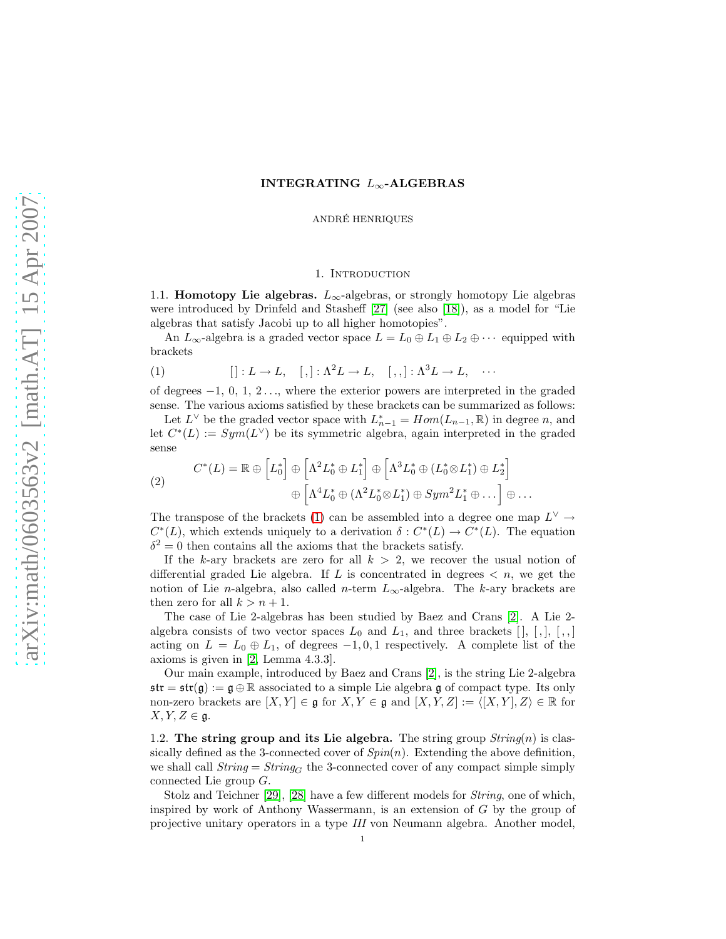# INTEGRATING  $L_{\infty}$ -ALGEBRAS

ANDRE HENRIQUES ´

# 1. INTRODUCTION

1.1. **Homotopy Lie algebras.**  $L_{\infty}$ -algebras, or strongly homotopy Lie algebras were introduced by Drinfeld and Stasheff [\[27\]](#page-31-0) (see also [\[18\]](#page-30-0)), as a model for "Lie algebras that satisfy Jacobi up to all higher homotopies".

An  $L_{\infty}$ -algebra is a graded vector space  $L = L_0 \oplus L_1 \oplus L_2 \oplus \cdots$  equipped with brackets

<span id="page-0-0"></span>(1) 
$$
[]: L \to L, \quad [ , ] : \Lambda^2 L \to L, \quad [ , , ] : \Lambda^3 L \to L, \quad \cdots
$$

of degrees  $-1, 0, 1, 2, \ldots$ , where the exterior powers are interpreted in the graded sense. The various axioms satisfied by these brackets can be summarized as follows:

Let  $L^{\vee}$  be the graded vector space with  $L_{n-1}^{*} = Hom(L_{n-1}, \mathbb{R})$  in degree n, and let  $C^*(L) := Sym(L^{\vee})$  be its symmetric algebra, again interpreted in the graded sense

<span id="page-0-1"></span>(2) 
$$
C^*(L) = \mathbb{R} \oplus \left[L_0^* \right] \oplus \left[\Lambda^2 L_0^* \oplus L_1^* \right] \oplus \left[\Lambda^3 L_0^* \oplus (L_0^* \otimes L_1^*) \oplus L_2^* \right] \oplus \left[\Lambda^4 L_0^* \oplus (\Lambda^2 L_0^* \otimes L_1^*) \oplus Sym^2 L_1^* \oplus \dots \right] \oplus \dots
$$

The transpose of the brackets [\(1\)](#page-0-0) can be assembled into a degree one map  $L^{\vee} \rightarrow$  $C^*(L)$ , which extends uniquely to a derivation  $\delta: C^*(L) \to C^*(L)$ . The equation  $\delta^2 = 0$  then contains all the axioms that the brackets satisfy.

If the k-ary brackets are zero for all  $k > 2$ , we recover the usual notion of differential graded Lie algebra. If L is concentrated in degrees  $\langle n, w \rangle$  we get the notion of Lie n-algebra, also called n-term  $L_{\infty}$ -algebra. The k-ary brackets are then zero for all  $k > n + 1$ .

The case of Lie 2-algebras has been studied by Baez and Crans [\[2\]](#page-30-1). A Lie 2 algebra consists of two vector spaces  $L_0$  and  $L_1$ , and three brackets  $[ , [ , ], [ , , ]$ acting on  $L = L_0 \oplus L_1$ , of degrees -1, 0, 1 respectively. A complete list of the axioms is given in [\[2,](#page-30-1) Lemma 4.3.3].

Our main example, introduced by Baez and Crans [\[2\]](#page-30-1), is the string Lie 2-algebra  $\mathfrak{str} = \mathfrak{str}(\mathfrak{g}) := \mathfrak{g} \oplus \mathbb{R}$  associated to a simple Lie algebra g of compact type. Its only non-zero brackets are  $[X, Y] \in \mathfrak{g}$  for  $X, Y \in \mathfrak{g}$  and  $[X, Y, Z] := \langle [X, Y], Z \rangle \in \mathbb{R}$  for  $X, Y, Z \in \mathfrak{g}.$ 

1.2. The string group and its Lie algebra. The string group  $String(n)$  is classically defined as the 3-connected cover of *Spin*(n). Extending the above definition, we shall call  $String = String_G$  the 3-connected cover of any compact simple simply connected Lie group G.

Stolz and Teichner [\[29\]](#page-31-1), [\[28\]](#page-31-2) have a few different models for *String*, one of which, inspired by work of Anthony Wassermann, is an extension of G by the group of projective unitary operators in a type *III* von Neumann algebra. Another model,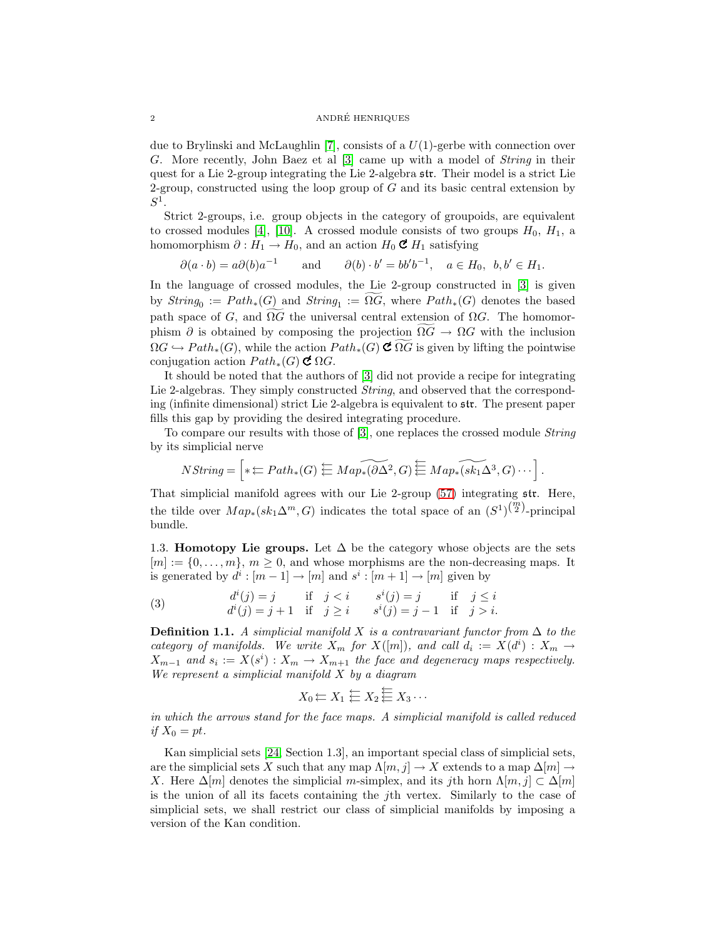### 2 ANDRE HENRIQUES ´

due to Brylinski and McLaughlin [\[7\]](#page-30-2), consists of a  $U(1)$ -gerbe with connection over G. More recently, John Baez et al [\[3\]](#page-30-3) came up with a model of *String* in their quest for a Lie 2-group integrating the Lie 2-algebra str. Their model is a strict Lie 2-group, constructed using the loop group of  $G$  and its basic central extension by  $S^1.$ 

Strict 2-groups, i.e. group objects in the category of groupoids, are equivalent to crossed modules [\[4\]](#page-30-4), [\[10\]](#page-30-5). A crossed module consists of two groups  $H_0$ ,  $H_1$ , a homomorphism  $\partial : H_1 \to H_0$ , and an action  $H_0 \mathcal{C} H_1$  satisfying

$$
\partial(a \cdot b) = a\partial(b)a^{-1}
$$
 and  $\partial(b) \cdot b' = bb'b^{-1}$ ,  $a \in H_0$ ,  $b, b' \in H_1$ .

In the language of crossed modules, the Lie 2-group constructed in [\[3\]](#page-30-3) is given by  $String_0 := Path_*(G)$  and  $String_1 := \Omega G$ , where  $Path_*(G)$  denotes the based path space of G, and  $\Omega G$  the universal central extension of  $\Omega G$ . The homomorphism  $\partial$  is obtained by composing the projection  $\Omega \overline{G} \to \Omega \overline{G}$  with the inclusion  $\Omega G \hookrightarrow Path_*(G)$ , while the action  $Path_*(G) \subset \Omega G$  is given by lifting the pointwise conjugation action  $Path_*(G) \subset \Omega G$ .

It should be noted that the authors of [\[3\]](#page-30-3) did not provide a recipe for integrating Lie 2-algebras. They simply constructed *String*, and observed that the corresponding (infinite dimensional) strict Lie 2-algebra is equivalent to str. The present paper fills this gap by providing the desired integrating procedure.

To compare our results with those of [\[3\]](#page-30-3), one replaces the crossed module *String* by its simplicial nerve

$$
NString = \left[ * \rightleftarrows Path_*(G) \stackrel{\leftarrow}{\leftarrows} Map_*(\widetilde{\partial \Delta^2}, G) \stackrel{\leftarrow}{\leftarrows} Map_*(\widetilde{sk_1 \Delta^3}, G) \cdots \right]
$$

.

That simplicial manifold agrees with our Lie 2-group [\(57\)](#page-27-0) integrating str. Here, the tilde over  $Map_*(sk_1\Delta^m, G)$  indicates the total space of an  $(S^1)^{(\overline{n})}$ -principal bundle.

1.3. Homotopy Lie groups. Let  $\Delta$  be the category whose objects are the sets  $[m] := \{0, \ldots, m\}, m \geq 0$ , and whose morphisms are the non-decreasing maps. It is generated by  $d^i : [m-1] \to [m]$  and  $s^i : [m+1] \to [m]$  given by

(3) 
$$
\begin{array}{rcl}\nd^i(j) = j & \text{if } j < i \\
d^i(j) = j + 1 & \text{if } j \ge i\n\end{array}\n\quad\n\begin{array}{rcl}\ns^i(j) = j & \text{if } j \le i \\
s^i(j) = j - 1 & \text{if } j > i.\n\end{array}
$$

Definition 1.1. *A simplicial manifold* X *is a contravariant functor from* ∆ *to the category of manifolds.* We write  $X_m$  for  $X([m])$ , and call  $d_i := X(d^i) : X_m \to$  $X_{m-1}$  and  $s_i := X(s^i) : X_m \to X_{m+1}$  the face and degeneracy maps respectively. *We represent a simplicial manifold* X *by a diagram*

$$
X_0 \leftarrow X_1 \leftarrow X_2 \leftarrow X_3 \cdots
$$

*in which the arrows stand for the face maps. A simplicial manifold is called reduced if*  $X_0 = pt$ .

<span id="page-1-0"></span>Kan simplicial sets [\[24,](#page-31-3) Section 1.3], an important special class of simplicial sets, are the simplicial sets X such that any map  $\Lambda[m, j] \to X$  extends to a map  $\Delta[m] \to$ X. Here  $\Delta[m]$  denotes the simplicial m-simplex, and its jth horn  $\Lambda[m, j] \subset \Delta[m]$ is the union of all its facets containing the jth vertex. Similarly to the case of simplicial sets, we shall restrict our class of simplicial manifolds by imposing a version of the Kan condition.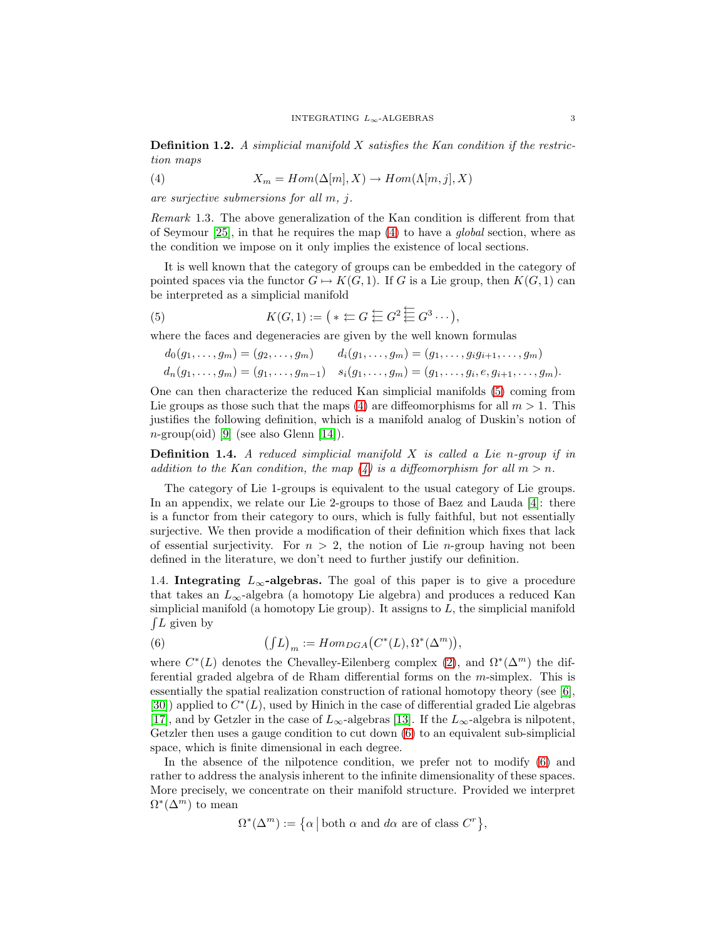Definition 1.2. *A simplicial manifold* X *satisfies the Kan condition if the restriction maps*

<span id="page-2-0"></span>(4) 
$$
X_m = Hom(\Delta[m], X) \to Hom(\Lambda[m, j], X)
$$

*are surjective submersions for all* m*,* j*.*

*Remark* 1.3*.* The above generalization of the Kan condition is different from that of Seymour [\[25\]](#page-31-4), in that he requires the map [\(4\)](#page-2-0) to have a *global* section, where as the condition we impose on it only implies the existence of local sections.

It is well known that the category of groups can be embedded in the category of pointed spaces via the functor  $G \mapsto K(G, 1)$ . If G is a Lie group, then  $K(G, 1)$  can be interpreted as a simplicial manifold

(5) 
$$
K(G,1):=\big(* \leftleftarrows G \stackrel{\leftarrow}{\leftarrow} G^2 \stackrel{\leftarrow}{\leftarrow} G^3 \cdots\big),\right.
$$

where the faces and degeneracies are given by the well known formulas

<span id="page-2-1"></span>
$$
d_0(g_1, \ldots, g_m) = (g_2, \ldots, g_m) \qquad d_i(g_1, \ldots, g_m) = (g_1, \ldots, g_i g_{i+1}, \ldots, g_m)
$$
  

$$
d_n(g_1, \ldots, g_m) = (g_1, \ldots, g_{m-1}) \qquad s_i(g_1, \ldots, g_m) = (g_1, \ldots, g_i, e, g_{i+1}, \ldots, g_m).
$$

One can then characterize the reduced Kan simplicial manifolds [\(5\)](#page-2-1) coming from Lie groups as those such that the maps [\(4\)](#page-2-0) are diffeomorphisms for all  $m > 1$ . This justifies the following definition, which is a manifold analog of Duskin's notion of  $n\text{-group}(\text{oid})$  [\[9\]](#page-30-6) (see also Glenn [\[14\]](#page-30-7)).

<span id="page-2-3"></span>Definition 1.4. *A reduced simplicial manifold* X *is called a Lie* n*-group if in addition to the Kan condition, the map*  $(4)$  *is a diffeomorphism for all*  $m > n$ .

The category of Lie 1-groups is equivalent to the usual category of Lie groups. In an appendix, we relate our Lie 2-groups to those of Baez and Lauda [\[4\]](#page-30-4): there is a functor from their category to ours, which is fully faithful, but not essentially surjective. We then provide a modification of their definition which fixes that lack of essential surjectivity. For  $n > 2$ , the notion of Lie *n*-group having not been defined in the literature, we don't need to further justify our definition.

1.4. Integrating  $L_{\infty}$ -algebras. The goal of this paper is to give a procedure that takes an  $L_{\infty}$ -algebra (a homotopy Lie algebra) and produces a reduced Kan simplicial manifold (a homotopy Lie group). It assigns to  $L$ , the simplicial manifold  $\int L$  given by

<span id="page-2-2"></span>(6) 
$$
\left(\int L\right)_m := Hom_{DGA}\left(C^*(L), \Omega^*(\Delta^m)\right),
$$

where  $C^*(L)$  denotes the Chevalley-Eilenberg complex [\(2\)](#page-0-1), and  $\Omega^*(\Delta^m)$  the differential graded algebra of de Rham differential forms on the m-simplex. This is essentially the spatial realization construction of rational homotopy theory (see [\[6\]](#page-30-8), [\[30\]](#page-31-5)) applied to  $C^*(L)$ , used by Hinich in the case of differential graded Lie algebras [\[17\]](#page-30-9), and by Getzler in the case of  $L_{\infty}$ -algebras [\[13\]](#page-30-10). If the  $L_{\infty}$ -algebra is nilpotent, Getzler then uses a gauge condition to cut down [\(6\)](#page-2-2) to an equivalent sub-simplicial space, which is finite dimensional in each degree.

In the absence of the nilpotence condition, we prefer not to modify [\(6\)](#page-2-2) and rather to address the analysis inherent to the infinite dimensionality of these spaces. More precisely, we concentrate on their manifold structure. Provided we interpret  $\Omega^*(\Delta^m)$  to mean

$$
\Omega^*(\Delta^m):=\big\{\alpha\,\big|\,\text{both }\alpha\text{ and }d\alpha\text{ are of class }C^r\big\},
$$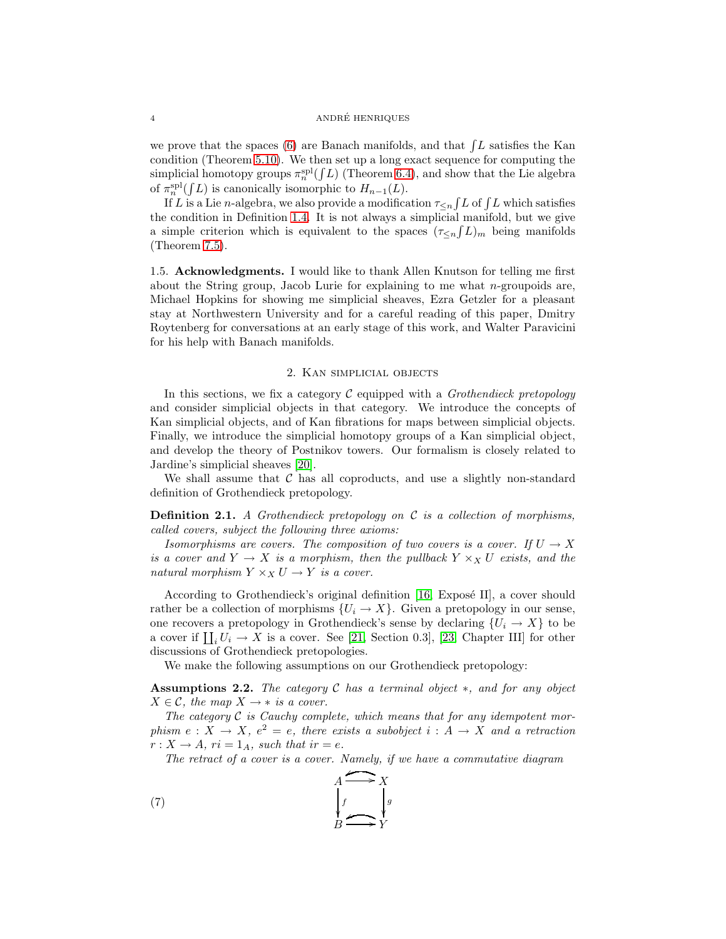### 4 ANDRE HENRIQUES ´

we prove that the spaces [\(6\)](#page-2-2) are Banach manifolds, and that  $\int L$  satisfies the Kan condition (Theorem [5.10\)](#page-15-0). We then set up a long exact sequence for computing the simplicial homotopy groups  $\pi_n^{\text{spl}}(fL)$  (Theorem [6.4\)](#page-18-0), and show that the Lie algebra of  $\pi_n^{\text{spl}}(fL)$  is canonically isomorphic to  $H_{n-1}(L)$ .

If L is a Lie *n*-algebra, we also provide a modification  $\tau_{\leq n} \int L$  of  $\int L$  which satisfies the condition in Definition [1.4.](#page-2-3) It is not always a simplicial manifold, but we give a simple criterion which is equivalent to the spaces  $(\tau_{\leq n} f L)_m$  being manifolds (Theorem [7.5\)](#page-21-0).

1.5. Acknowledgments. I would like to thank Allen Knutson for telling me first about the String group, Jacob Lurie for explaining to me what  $n$ -groupoids are, Michael Hopkins for showing me simplicial sheaves, Ezra Getzler for a pleasant stay at Northwestern University and for a careful reading of this paper, Dmitry Roytenberg for conversations at an early stage of this work, and Walter Paravicini for his help with Banach manifolds.

# 2. Kan simplicial objects

In this sections, we fix a category C equipped with a *Grothendieck pretopology* and consider simplicial objects in that category. We introduce the concepts of Kan simplicial objects, and of Kan fibrations for maps between simplicial objects. Finally, we introduce the simplicial homotopy groups of a Kan simplicial object, and develop the theory of Postnikov towers. Our formalism is closely related to Jardine's simplicial sheaves [\[20\]](#page-30-11).

We shall assume that  $\mathcal C$  has all coproducts, and use a slightly non-standard definition of Grothendieck pretopology.

Definition 2.1. *A Grothendieck pretopology on* C *is a collection of morphisms, called covers, subject the following three axioms:*

*Isomorphisms are covers. The composition of two covers is a cover. If*  $U \rightarrow X$ *is a cover and*  $Y \to X$  *is a morphism, then the pullback*  $Y \times_X U$  *exists, and the natural morphism*  $Y \times_X U \to Y$  *is a cover.* 

According to Grothendieck's original definition  $[16, Ex$  pose II], a cover should rather be a collection of morphisms  $\{U_i \to X\}$ . Given a pretopology in our sense, one recovers a pretopology in Grothendieck's sense by declaring  $\{U_i \to X\}$  to be a cover if  $\prod_i U_i \to X$  is a cover. See [\[21,](#page-30-13) Section 0.3], [\[23,](#page-30-14) Chapter III] for other discussions of Grothendieck pretopologies.

<span id="page-3-0"></span>We make the following assumptions on our Grothendieck pretopology:

Assumptions 2.2. *The category* C *has a terminal object* ∗*, and for any object*  $X \in \mathcal{C}$ , the map  $X \to *$  *is a cover.* 

*The category* C *is Cauchy complete, which means that for any idempotent morphism*  $e: X \to X$ ,  $e^2 = e$ , there exists a subobject  $i: A \to X$  and a retraction  $r: X \to A$ ,  $ri = 1_A$ , such that  $ir = e$ .

<span id="page-3-1"></span>*The retract of a cover is a cover. Namely, if we have a commutative diagram*

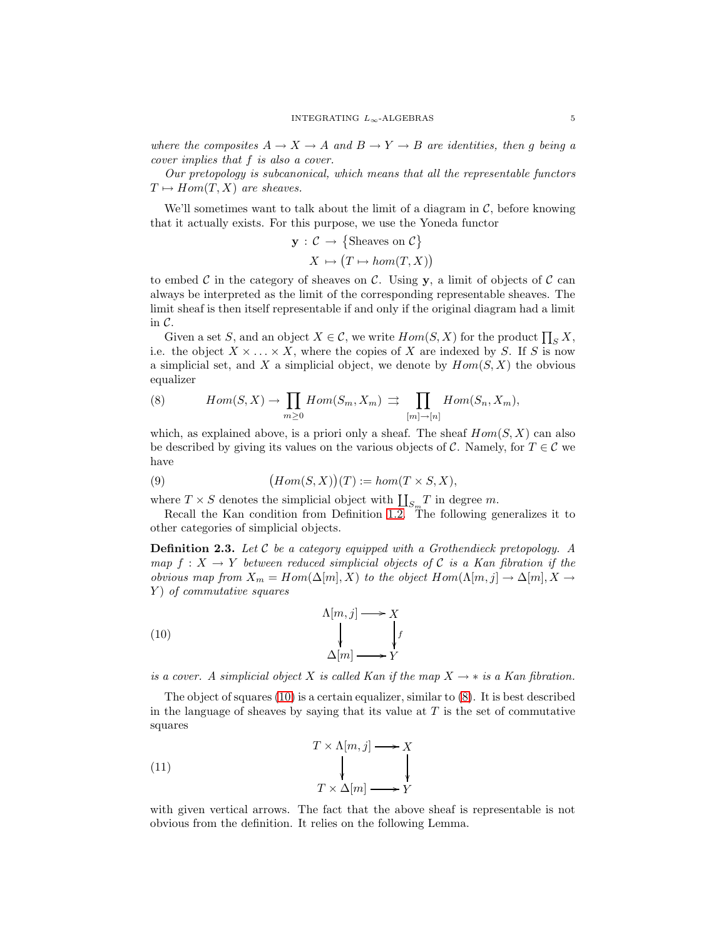*where the composites*  $A \to X \to A$  *and*  $B \to Y \to B$  *are identities, then* q *being a cover implies that* f *is also a cover.*

*Our pretopology is subcanonical, which means that all the representable functors*  $T \mapsto Hom(T, X)$  *are sheaves.* 

We'll sometimes want to talk about the limit of a diagram in  $C$ , before knowing that it actually exists. For this purpose, we use the Yoneda functor

$$
\mathbf{y}: \mathcal{C} \to \{\text{Sheaves on } \mathcal{C}\}\
$$

$$
X \mapsto (T \mapsto hom(T, X))
$$

to embed  $\mathcal C$  in the category of sheaves on  $\mathcal C$ . Using y, a limit of objects of  $\mathcal C$  can always be interpreted as the limit of the corresponding representable sheaves. The limit sheaf is then itself representable if and only if the original diagram had a limit in C.

Given a set S, and an object  $X \in \mathcal{C}$ , we write  $Hom(S, X)$  for the product  $\prod_S X$ , i.e. the object  $X \times \ldots \times X$ , where the copies of X are indexed by S. If S is now a simplicial set, and X a simplicial object, we denote by  $Hom(S, X)$  the obvious equalizer

<span id="page-4-1"></span>(8) 
$$
Hom(S, X) \to \prod_{m \geq 0} Hom(S_m, X_m) \implies \prod_{[m] \to [n]} Hom(S_n, X_m),
$$

which, as explained above, is a priori only a sheaf. The sheaf  $Hom(S, X)$  can also be described by giving its values on the various objects of C. Namely, for  $T \in \mathcal{C}$  we have

<span id="page-4-3"></span>(9) 
$$
(Hom(S, X))(T) := hom(T \times S, X),
$$

where  $T \times S$  denotes the simplicial object with  $\prod_{S_m} T$  in degree m.

<span id="page-4-2"></span>Recall the Kan condition from Definition [1.2.](#page-1-0) The following generalizes it to other categories of simplicial objects.

Definition 2.3. *Let* C *be a category equipped with a Grothendieck pretopology. A map*  $f: X \to Y$  *between reduced simplicial objects of* C *is a Kan fibration if the obvious map from*  $X_m = Hom(\Delta[m], X)$  *to the object*  $Hom(\Lambda[m, j] \to \Delta[m], X \to Y)$ Y ) *of commutative squares*

<span id="page-4-0"></span>(10) 
$$
\Lambda[m,j] \longrightarrow X
$$

$$
\downarrow
$$

$$
\Delta[m] \longrightarrow Y
$$

*is a cover. A simplicial object* X *is called Kan if the map*  $X \to *$  *is a Kan fibration.* 

The object of squares [\(10\)](#page-4-0) is a certain equalizer, similar to [\(8\)](#page-4-1). It is best described in the language of sheaves by saying that its value at  $T$  is the set of commutative squares

<span id="page-4-4"></span>(11) 
$$
T \times \Lambda[m, j] \longrightarrow X
$$

$$
\downarrow \qquad \qquad \downarrow
$$

$$
T \times \Delta[m] \longrightarrow Y
$$

with given vertical arrows. The fact that the above sheaf is representable is not obvious from the definition. It relies on the following Lemma.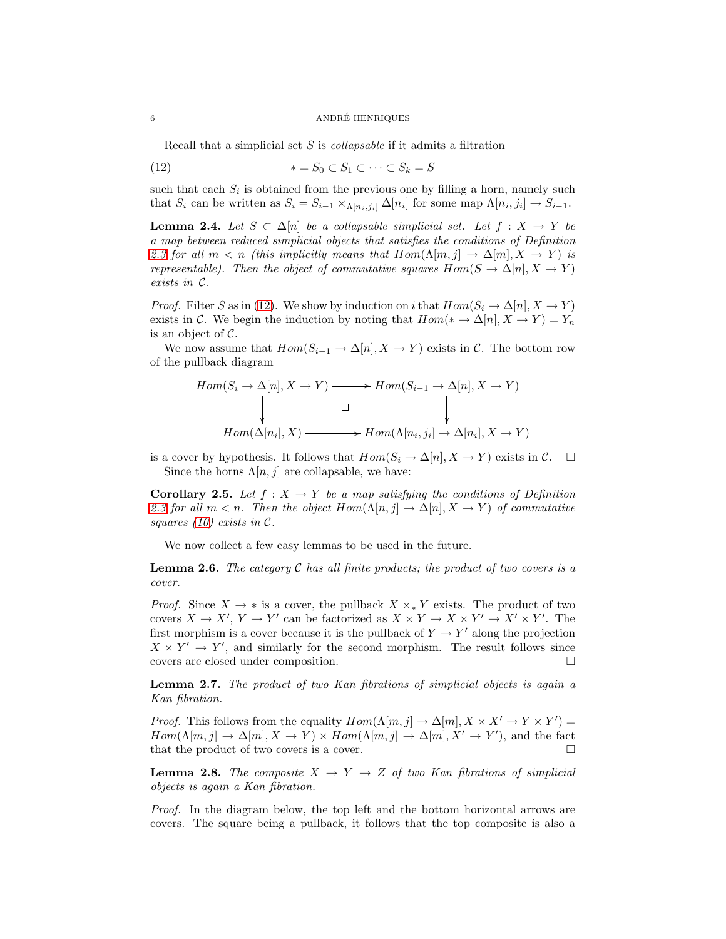#### 6 ANDRÉ HENRIQUES

<span id="page-5-0"></span>Recall that a simplicial set S is *collapsable* if it admits a filtration

$$
(12) \qquad \qquad * = S_0 \subset S_1 \subset \cdots \subset S_k = S
$$

<span id="page-5-1"></span>such that each  $S_i$  is obtained from the previous one by filling a horn, namely such that  $S_i$  can be written as  $S_i = S_{i-1} \times_{\Lambda[n_i,j_i]} \Delta[n_i]$  for some map  $\Lambda[n_i,j_i] \to S_{i-1}$ .

**Lemma 2.4.** Let  $S \subset \Delta[n]$  be a collapsable simplicial set. Let  $f : X \to Y$  be *a map between reduced simplicial objects that satisfies the conditions of Definition* [2.3](#page-4-2) for all  $m < n$  (this implicitly means that  $Hom(\Lambda[m,j] \to \Delta[m], X \to Y)$  is *representable). Then the object of commutative squares*  $Hom(S \to \Delta[n], X \to Y)$ *exists in* C*.*

*Proof.* Filter S as in [\(12\)](#page-5-0). We show by induction on i that  $Hom(S_i \to \Delta[n], X \to Y)$ exists in C. We begin the induction by noting that  $Hom(* \to \Delta[n], X \to Y) = Y_n$ is an object of  $\mathcal{C}$ .

We now assume that  $Hom(S_{i-1} \to \Delta[n], X \to Y)$  exists in C. The bottom row of the pullback diagram

$$
Hom(S_i \to \Delta[n], X \to Y) \longrightarrow Hom(S_{i-1} \to \Delta[n], X \to Y)
$$
  
\n
$$
\downarrow \qquad \qquad \downarrow \qquad \qquad \downarrow
$$
  
\n
$$
Hom(\Delta[n_i], X) \longrightarrow Hom(\Lambda[n_i, j_i] \to \Delta[n_i], X \to Y)
$$

<span id="page-5-4"></span>is a cover by hypothesis. It follows that  $Hom(S_i \to \Delta[n], X \to Y)$  exists in  $\mathcal{C}$ . Since the horns  $\Lambda[n, j]$  are collapsable, we have:

**Corollary 2.5.** Let  $f : X \to Y$  be a map satisfying the conditions of Definition [2.3](#page-4-2) for all  $m < n$ . Then the object  $Hom(\Lambda[n, j] \to \Delta[n], X \to Y)$  of commutative *squares [\(10\)](#page-4-0) exists in* C*.*

We now collect a few easy lemmas to be used in the future.

Lemma 2.6. *The category* C *has all finite products; the product of two covers is a cover.*

*Proof.* Since  $X \to *$  is a cover, the pullback  $X \times_* Y$  exists. The product of two covers  $X \to X'$ ,  $Y \to Y'$  can be factorized as  $X \times Y \to X \times Y' \to X' \times Y'$ . The first morphism is a cover because it is the pullback of  $Y \to Y'$  along the projection  $X \times Y' \rightarrow Y'$ , and similarly for the second morphism. The result follows since covers are closed under composition.

<span id="page-5-3"></span>Lemma 2.7. *The product of two Kan fibrations of simplicial objects is again a Kan fibration.*

*Proof.* This follows from the equality  $Hom(\Lambda[m,j] \to \Delta[m], X \times X' \to Y \times Y')$  $Hom(\Lambda[m,j] \to \Delta[m], X \to Y) \times Hom(\Lambda[m,j] \to \Delta[m], X' \to Y')$ , and the fact that the product of two covers is a cover.  $\Box$ 

<span id="page-5-2"></span>**Lemma 2.8.** The composite  $X \to Y \to Z$  of two Kan fibrations of simplicial *objects is again a Kan fibration.*

*Proof.* In the diagram below, the top left and the bottom horizontal arrows are covers. The square being a pullback, it follows that the top composite is also a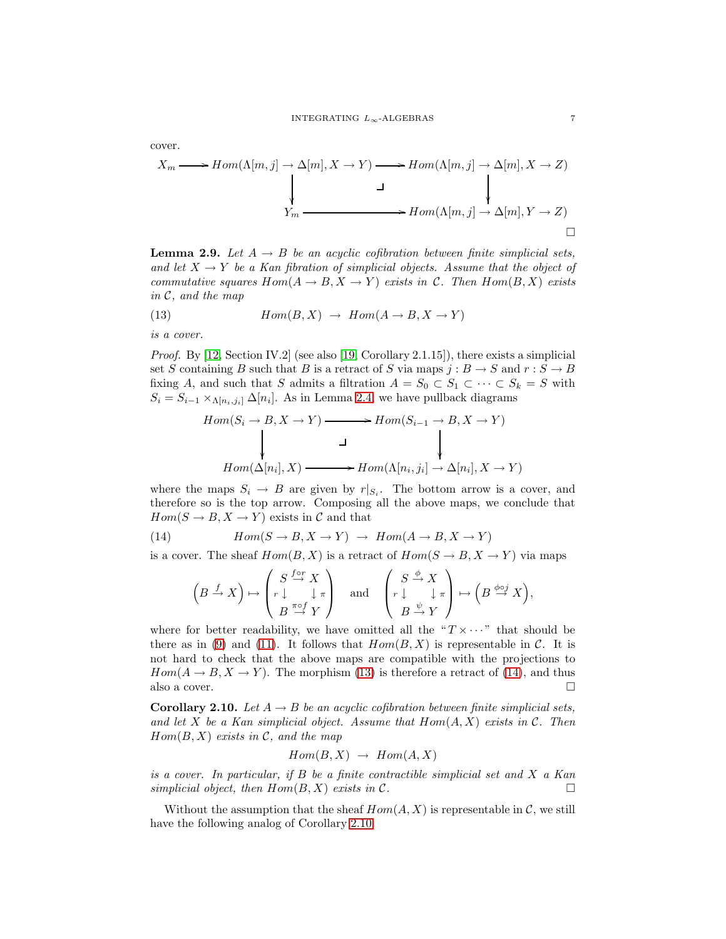$$
X_m \longrightarrow Hom(\Lambda[m,j] \to \Delta[m], X \to Y) \longrightarrow Hom(\Lambda[m,j] \to \Delta[m], X \to Z)
$$
  
\n
$$
\downarrow \qquad \qquad \downarrow
$$
  
\n
$$
Y_m \longrightarrow Hom(\Lambda[m,j] \to \Delta[m], Y \to Z)
$$

**Lemma 2.9.** Let  $A \rightarrow B$  be an acyclic cofibration between finite simplicial sets, *and let*  $X \to Y$  *be a Kan fibration of simplicial objects. Assume that the object of commutative squares*  $Hom(A \to B, X \to Y)$  *exists in* C. Then  $Hom(B, X)$  *exists in* C*, and the map*

<span id="page-6-0"></span>(13) 
$$
Hom(B, X) \rightarrow Hom(A \rightarrow B, X \rightarrow Y)
$$

*is a cover.*

cover.

*Proof.* By [\[12,](#page-30-15) Section IV.2] (see also [\[19,](#page-30-16) Corollary 2.1.15]), there exists a simplicial set S containing B such that B is a retract of S via maps  $j : B \to S$  and  $r : S \to B$ fixing A, and such that S admits a filtration  $A = S_0 \subset S_1 \subset \cdots \subset S_k = S$  with  $S_i = S_{i-1} \times_{\Lambda[n_i,j_i]} \Delta[n_i]$ . As in Lemma [2.4,](#page-5-1) we have pullback diagrams

$$
Hom(S_i \to B, X \to Y) \longrightarrow Hom(S_{i-1} \to B, X \to Y)
$$
  
\n
$$
\downarrow \qquad \qquad \downarrow
$$
  
\n
$$
Hom(\Delta[n_i], X) \longrightarrow Hom(\Lambda[n_i, j_i] \to \Delta[n_i], X \to Y)
$$

where the maps  $S_i \to B$  are given by  $r|_{S_i}$ . The bottom arrow is a cover, and therefore so is the top arrow. Composing all the above maps, we conclude that  $Hom(S \to B, X \to Y)$  exists in C and that

(14) 
$$
Hom(S \to B, X \to Y) \to Hom(A \to B, X \to Y)
$$

is a cover. The sheaf  $Hom(B, X)$  is a retract of  $Hom(S \to B, X \to Y)$  via maps

<span id="page-6-1"></span>
$$
\left(B\xrightarrow{f}X\right)\mapsto\begin{pmatrix}S\xrightarrow{for}X\\ r\downarrow & \downarrow \pi\\ B\xrightarrow{\pi\circ f}Y\end{pmatrix}\quad\text{and}\quad\begin{pmatrix}S\xrightarrow{\phi}X\\ r\downarrow & \downarrow \pi\\ B\xrightarrow{\psi}Y\end{pmatrix}\mapsto\Big(B\xrightarrow{\phi\circ j}X\Big),
$$

where for better readability, we have omitted all the " $T \times \cdots$ " that should be there as in [\(9\)](#page-4-3) and [\(11\)](#page-4-4). It follows that  $Hom(B, X)$  is representable in C. It is not hard to check that the above maps are compatible with the projections to  $Hom(A \to B, X \to Y)$ . The morphism [\(13\)](#page-6-0) is therefore a retract of [\(14\)](#page-6-1), and thus also a cover.  $\Box$ 

<span id="page-6-2"></span>Corollary 2.10. Let  $A \rightarrow B$  be an acyclic cofibration between finite simplicial sets, *and let* X *be a Kan simplicial object. Assume that* Hom(A, X) *exists in* C*. Then* Hom(B, X) *exists in* C*, and the map*

$$
Hom(B, X) \rightarrow Hom(A, X)
$$

*is a cover. In particular, if* B *be a finite contractible simplicial set and* X *a Kan simplicial object, then*  $Hom(B, X)$  *exists in*  $\mathcal{C}$ *.* 

<span id="page-6-3"></span>Without the assumption that the sheaf  $Hom(A, X)$  is representable in C, we still have the following analog of Corollary [2.10.](#page-6-2)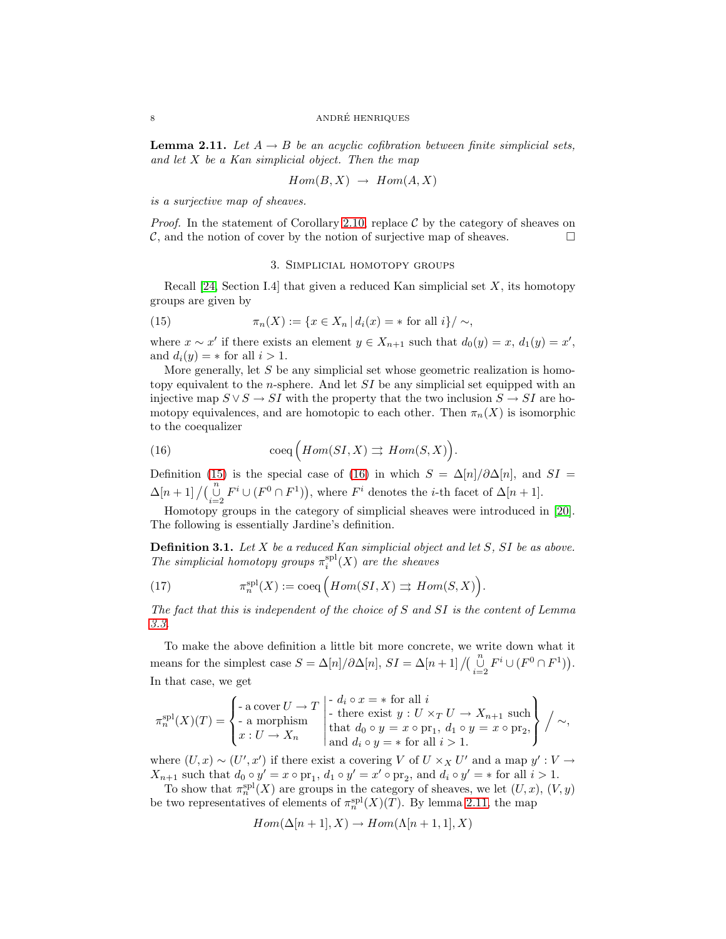**Lemma 2.11.** Let  $A \rightarrow B$  be an acyclic cofibration between finite simplicial sets, *and let* X *be a Kan simplicial object. Then the map*

$$
Hom(B, X) \rightarrow Hom(A, X)
$$

*is a surjective map of sheaves.*

*Proof.* In the statement of Corollary [2.10,](#page-6-2) replace  $\mathcal{C}$  by the category of sheaves on  $\mathcal{C}$ , and the notion of cover by the notion of surjective map of sheaves.

### <span id="page-7-0"></span>3. Simplicial homotopy groups

Recall  $[24, Section I.4]$  that given a reduced Kan simplicial set X, its homotopy groups are given by

(15) 
$$
\pi_n(X) := \{ x \in X_n \, | \, d_i(x) = * \text{ for all } i \} / \sim,
$$

where  $x \sim x'$  if there exists an element  $y \in X_{n+1}$  such that  $d_0(y) = x$ ,  $d_1(y) = x'$ , and  $d_i(y) = *$  for all  $i > 1$ .

More generally, let  $S$  be any simplicial set whose geometric realization is homotopy equivalent to the *n*-sphere. And let  $SI$  be any simplicial set equipped with an injective map  $S \vee S \rightarrow SI$  with the property that the two inclusion  $S \rightarrow SI$  are homotopy equivalences, and are homotopic to each other. Then  $\pi_n(X)$  is isomorphic to the coequalizer

<span id="page-7-1"></span>(16) 
$$
\text{coeq}\left(Hom(SI,X)\rightrightarrows Hom(S,X)\right).
$$

Definition [\(15\)](#page-7-0) is the special case of [\(16\)](#page-7-1) in which  $S = \Delta[n]/\partial \Delta[n]$ , and  $SI =$  $\Delta[n+1]/\left(\bigcup_{i=2}^{n} F^{i} \cup (F^{0} \cap F^{1})\right)$ , where  $F^{i}$  denotes the *i*-th facet of  $\Delta[n+1]$ .

<span id="page-7-2"></span>Homotopy groups in the category of simplicial sheaves were introduced in [\[20\]](#page-30-11). The following is essentially Jardine's definition.

Definition 3.1. *Let* X *be a reduced Kan simplicial object and let* S*,* SI *be as above.* The simplicial homotopy groups  $\pi_i^{\text{spl}}(X)$  are the sheaves

(17) 
$$
\pi_n^{\text{spl}}(X) := \text{coeq}\left(Hom(SI, X) \implies Hom(S, X)\right).
$$

*The fact that this is independent of the choice of* S *and* SI *is the content of Lemma [3.3.](#page-8-0)*

To make the above definition a little bit more concrete, we write down what it means for the simplest case  $S = \Delta[n]/\partial \Delta[n]$ ,  $SI = \Delta[n+1] / (\bigcup_{i=2}^{n} F^i \cup (F^0 \cap F^1))$ . In that case, we get

$$
\pi_n^{\text{spl}}(X)(T) = \begin{cases}\n-\text{ a cover } U \to T \\
-\text{ a morphism} \\
x: U \to X_n\n\end{cases}\n\left|\n\begin{array}{l}\n-d_i \circ x = * \text{ for all } i \\
-\text{ there exist } y: U \times_T U \to X_{n+1} \text{ such} \\
\text{ that } d_0 \circ y = x \circ \text{pr}_1, d_1 \circ y = x \circ \text{pr}_2, \\
\text{ and } d_i \circ y = * \text{ for all } i > 1.\n\end{array}\n\right| \Bigg/ \sim,
$$

where  $(U, x) \sim (U', x')$  if there exist a covering V of  $U \times_X U'$  and a map  $y' : V \to V'$  $X_{n+1}$  such that  $d_0 \circ y' = x \circ \text{pr}_1$ ,  $d_1 \circ y' = x' \circ \text{pr}_2$ , and  $d_i \circ y' = * \text{ for all } i > 1$ .

To show that  $\pi_n^{\text{spl}}(X)$  are groups in the category of sheaves, we let  $(U, x)$ ,  $(V, y)$ be two representatives of elements of  $\pi_n^{\text{spl}}(X)(T)$ . By lemma [2.11,](#page-6-3) the map

$$
Hom(\Delta[n+1], X) \to Hom(\Lambda[n+1, 1], X)
$$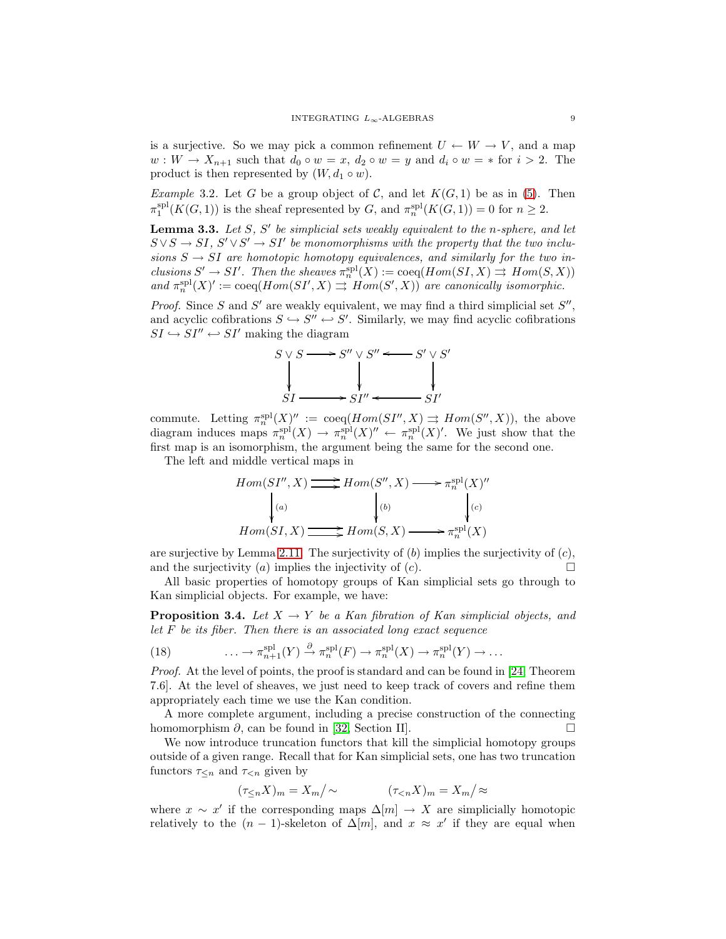is a surjective. So we may pick a common refinement  $U \leftarrow W \rightarrow V$ , and a map  $w: W \to X_{n+1}$  such that  $d_0 \circ w = x$ ,  $d_2 \circ w = y$  and  $d_i \circ w = *$  for  $i > 2$ . The product is then represented by  $(W, d_1 \circ w)$ .

*Example* 3.2. Let G be a group object of C, and let  $K(G, 1)$  be as in [\(5\)](#page-2-1). Then  $\pi_1^{\text{spl}}(K(G,1))$  is the sheaf represented by G, and  $\pi_n^{\text{spl}}(K(G,1)) = 0$  for  $n \geq 2$ .

<span id="page-8-0"></span>Lemma 3.3. Let S, S' be simplicial sets weakly equivalent to the n-sphere, and let  $S \vee S \to SI$ ,  $S' \vee S' \to SI'$  be monomorphisms with the property that the two inclu*sions*  $S \rightarrow SI$  *are homotopic homotopy equivalences, and similarly for the two in-* $\textit{clusions } S' \to SI'.$  Then the sheaves  $\pi^{\text{spl}}_n(X) := \text{coeq}(Hom(SI, X) \rightrightarrows Hom(S, X))$  $and \ \pi^{\mathrm{spl}}_n(X)' := \mathrm{coeq}(Hom(SI', X) \rightrightarrows Hom(S', X))$  *are canonically isomorphic.* 

*Proof.* Since S and S' are weakly equivalent, we may find a third simplicial set  $S''$ , and acyclic cofibrations  $S \hookrightarrow S'' \hookleftarrow S'$ . Similarly, we may find acyclic cofibrations  $SI \hookrightarrow SI'' \hookleftarrow SI'$  making the diagram



commute. Letting  $\pi_n^{\text{spl}}(X)'' := \text{coeq}(Hom(SI'', X) \rightrightarrows Hom(S'', X)),$  the above diagram induces maps  $\pi_n^{\text{spl}}(X) \to \pi_n^{\text{spl}}(X)'' \leftarrow \pi_n^{\text{spl}}(X)'$ . We just show that the first map is an isomorphism, the argument being the same for the second one.

The left and middle vertical maps in

$$
Hom(SI'', X) \longrightarrow Hom(S'', X) \longrightarrow \pi_n^{\text{spl}}(X)''
$$
  
\n
$$
\downarrow^{(a)} \qquad \qquad \downarrow^{(b)} \qquad \qquad \downarrow^{(c)}
$$
  
\n
$$
Hom(SI, X) \longrightarrow Hom(S, X) \longrightarrow \pi_n^{\text{spl}}(X)
$$

are surjective by Lemma [2.11.](#page-6-3) The surjectivity of  $(b)$  implies the surjectivity of  $(c)$ , and the surjectivity  $(a)$  implies the injectivity of  $(c)$ .

<span id="page-8-1"></span>All basic properties of homotopy groups of Kan simplicial sets go through to Kan simplicial objects. For example, we have:

**Proposition 3.4.** *Let*  $X \rightarrow Y$  *be a Kan fibration of Kan simplicial objects, and let* F *be its fiber. Then there is an associated long exact sequence*

(18) 
$$
\ldots \to \pi_{n+1}^{\text{spl}}(Y) \xrightarrow{\partial} \pi_n^{\text{spl}}(F) \to \pi_n^{\text{spl}}(X) \to \pi_n^{\text{spl}}(Y) \to \ldots
$$

*Proof.* At the level of points, the proof is standard and can be found in [\[24,](#page-31-3) Theorem 7.6]. At the level of sheaves, we just need to keep track of covers and refine them appropriately each time we use the Kan condition.

A more complete argument, including a precise construction of the connecting homomorphism  $\partial$ , can be found in [\[32,](#page-31-6) Section II].

We now introduce truncation functors that kill the simplicial homotopy groups outside of a given range. Recall that for Kan simplicial sets, one has two truncation functors  $\tau_{\leq n}$  and  $\tau_{\leq n}$  given by

$$
(\tau_{\leq n}X)_m = X_m / \sim \qquad (\tau_{\leq n}X)_m = X_m / \approx
$$

where  $x \sim x'$  if the corresponding maps  $\Delta[m] \to X$  are simplicially homotopic relatively to the  $(n-1)$ -skeleton of  $\Delta[m]$ , and  $x \approx x'$  if they are equal when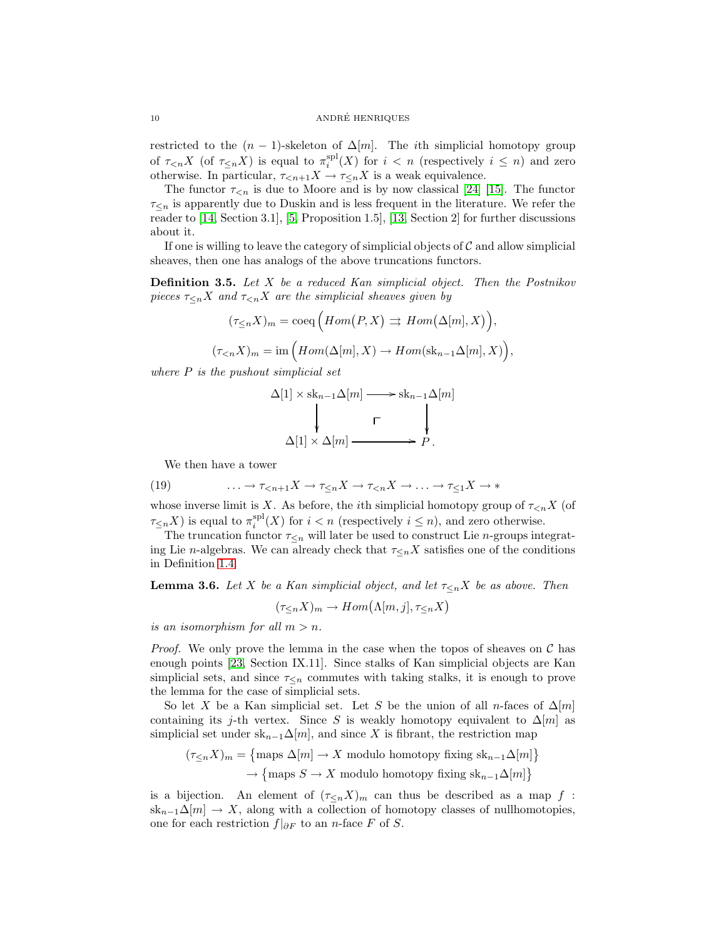#### 10 ANDRÉ HENRIQUES

restricted to the  $(n-1)$ -skeleton of  $\Delta[m]$ . The *i*th simplicial homotopy group of  $\tau_{\leq n}X$  (of  $\tau_{\leq n}X$ ) is equal to  $\pi_i^{\text{spl}}(X)$  for  $i < n$  (respectively  $i \leq n$ ) and zero otherwise. In particular,  $\tau_{\leq n+1}X \to \tau_{\leq n}X$  is a weak equivalence.

The functor  $\tau_{\leq n}$  is due to Moore and is by now classical [\[24\]](#page-31-3) [\[15\]](#page-30-17). The functor  $\tau$ <n is apparently due to Duskin and is less frequent in the literature. We refer the reader to [\[14,](#page-30-7) Section 3.1], [\[5,](#page-30-18) Proposition 1.5], [\[13,](#page-30-10) Section 2] for further discussions about it.

<span id="page-9-1"></span>If one is willing to leave the category of simplicial objects of  $C$  and allow simplicial sheaves, then one has analogs of the above truncations functors.

Definition 3.5. *Let* X *be a reduced Kan simplicial object. Then the Postnikov pieces*  $\tau_{\leq n}X$  *and*  $\tau_{\leq n}X$  *are the simplicial sheaves given by* 

$$
(\tau_{\leq n}X)_m = \text{coeq}\Big(Hom(P, X) \implies Hom(\Delta[m], X)\Big),
$$
  

$$
(\tau_{\leq n}X)_m = \text{im}\Big(Hom(\Delta[m], X) \to Hom(\text{sk}_{n-1}\Delta[m], X)\Big),
$$

*where* P *is the pushout simplicial set*

$$
\Delta[1] \times sk_{n-1} \Delta[m] \longrightarrow sk_{n-1} \Delta[m]
$$
  
\n
$$
\downarrow \qquad \qquad \Gamma \qquad \qquad \downarrow
$$
  
\n
$$
\Delta[1] \times \Delta[m] \longrightarrow P.
$$

<span id="page-9-2"></span>We then have a tower

(19) 
$$
\ldots \to \tau_{\leq n+1} X \to \tau_{\leq n} X \to \tau_{\leq n} X \to \ldots \to \tau_{\leq 1} X \to *
$$

whose inverse limit is X. As before, the *i*th simplicial homotopy group of  $\tau_{\leq n} X$  (of  $\tau_{\leq n}X$ ) is equal to  $\pi_i^{\text{spl}}(X)$  for  $i < n$  (respectively  $i \leq n$ ), and zero otherwise.

The truncation functor  $\tau_{\leq n}$  will later be used to construct Lie *n*-groups integrating Lie n-algebras. We can already check that  $\tau_{\leq n} X$  satisfies one of the conditions in Definition [1.4.](#page-2-3)

<span id="page-9-0"></span>**Lemma 3.6.** *Let* X *be a Kan simplicial object, and let*  $\tau_{\leq n}X$  *be as above. Then* 

$$
(\tau_{\leq n}X)_m \to Hom(\Lambda[m,j], \tau_{\leq n}X)
$$

*is an isomorphism for all*  $m > n$ .

*Proof.* We only prove the lemma in the case when the topos of sheaves on  $\mathcal C$  has enough points [\[23,](#page-30-14) Section IX.11]. Since stalks of Kan simplicial objects are Kan simplicial sets, and since  $\tau_{\leq n}$  commutes with taking stalks, it is enough to prove the lemma for the case of simplicial sets.

So let X be a Kan simplicial set. Let S be the union of all n-faces of  $\Delta[m]$ containing its j-th vertex. Since S is weakly homotopy equivalent to  $\Delta[m]$  as simplicial set under sk<sub>n−1</sub> $\Delta[m]$ , and since X is fibrant, the restriction map

$$
(\tau_{\leq n}X)_m = \{ \text{maps } \Delta[m] \to X \text{ modulo homotopy fixing } \text{sk}_{n-1}\Delta[m] \}
$$

$$
\to \{ \text{maps } S \to X \text{ modulo homotopy fixing } \text{sk}_{n-1}\Delta[m] \}
$$

is a bijection. An element of  $(\tau_{\leq n}X)_m$  can thus be described as a map f :  $sk_{n-1}\Delta[m] \to X$ , along with a collection of homotopy classes of nullhomotopies, one for each restriction  $f|_{\partial F}$  to an n-face F of S.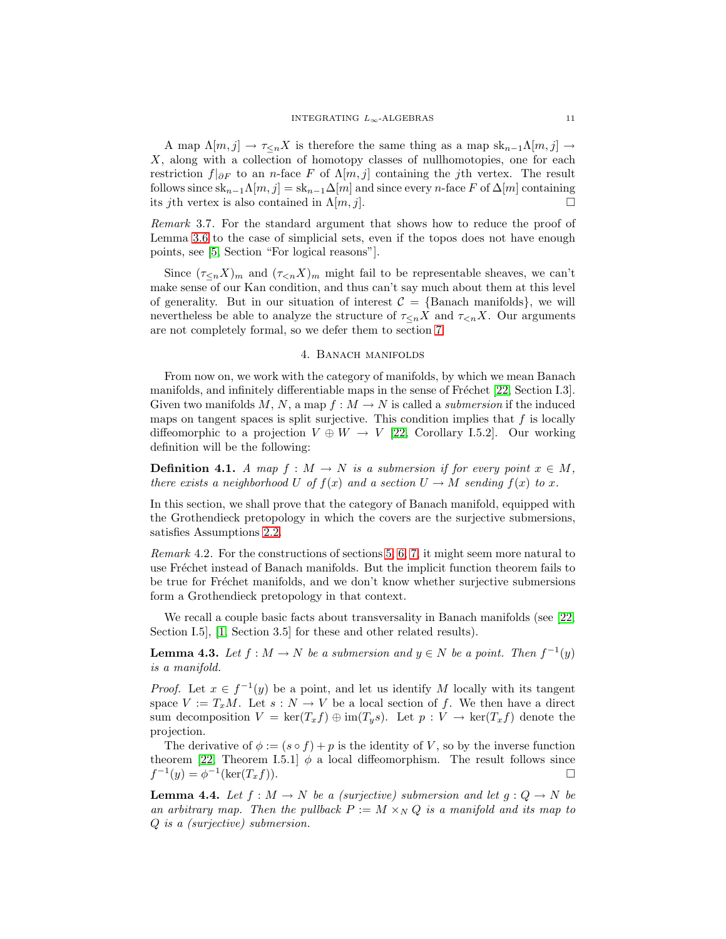A map  $\Lambda[m,j] \to \tau \lt_{n} X$  is therefore the same thing as a map  $sk_{n-1}\Lambda[m,j] \to$ X, along with a collection of homotopy classes of nullhomotopies, one for each restriction  $f|_{\partial F}$  to an n-face F of  $\Lambda[m, j]$  containing the jth vertex. The result follows since  $sk_{n-1}\Lambda[m, j] = sk_{n-1}\Delta[m]$  and since every n-face F of  $\Delta[m]$  containing its jth vertex is also contained in  $\Lambda[m, j]$ .

*Remark* 3.7*.* For the standard argument that shows how to reduce the proof of Lemma [3.6](#page-9-0) to the case of simplicial sets, even if the topos does not have enough points, see [\[5,](#page-30-18) Section "For logical reasons"].

Since  $(\tau_{\leq n}X)_m$  and  $(\tau_{\leq n}X)_m$  might fail to be representable sheaves, we can't make sense of our Kan condition, and thus can't say much about them at this level of generality. But in our situation of interest  $\mathcal{C} = \{\text{Banach manifolds}\}\,$ , we will nevertheless be able to analyze the structure of  $\tau \leq_n X$  and  $\tau \leq_n X$ . Our arguments are not completely formal, so we defer them to section [7.](#page-20-0)

#### 4. BANACH MANIFOLDS

<span id="page-10-1"></span>From now on, we work with the category of manifolds, by which we mean Banach manifolds, and infinitely differentiable maps in the sense of Fréchet  $[22, Section I.3]$ . Given two manifolds  $M, N$ , a map  $f : M \to N$  is called a *submersion* if the induced maps on tangent spaces is split surjective. This condition implies that  $f$  is locally diffeomorphic to a projection  $V \oplus W \rightarrow V$  [\[22,](#page-30-19) Corollary I.5.2]. Our working definition will be the following:

**Definition 4.1.** *A map*  $f : M \to N$  *is a submersion if for every point*  $x \in M$ , *there exists a neighborhood* U of  $f(x)$  and a section  $U \rightarrow M$  *sending*  $f(x)$  *to* x.

In this section, we shall prove that the category of Banach manifold, equipped with the Grothendieck pretopology in which the covers are the surjective submersions, satisfies Assumptions [2.2.](#page-3-0)

*Remark* 4.2*.* For the constructions of sections [5,](#page-12-0) [6,](#page-17-0) [7,](#page-20-0) it might seem more natural to use Fréchet instead of Banach manifolds. But the implicit function theorem fails to be true for Fréchet manifolds, and we don't know whether surjective submersions form a Grothendieck pretopology in that context.

<span id="page-10-0"></span>We recall a couple basic facts about transversality in Banach manifolds (see [\[22,](#page-30-19) Section I.5], [\[1,](#page-30-20) Section 3.5] for these and other related results).

**Lemma 4.3.** Let  $f : M \to N$  be a submersion and  $y \in N$  be a point. Then  $f^{-1}(y)$ *is a manifold.*

*Proof.* Let  $x \in f^{-1}(y)$  be a point, and let us identify M locally with its tangent space  $V := T_x M$ . Let  $s : N \to V$  be a local section of f. We then have a direct sum decomposition  $V = \ker(T_x f) \oplus \text{im}(T_y s)$ . Let  $p : V \to \ker(T_x f)$  denote the projection.

The derivative of  $\phi := (s \circ f) + p$  is the identity of V, so by the inverse function theorem [\[22,](#page-30-19) Theorem I.5.1]  $\phi$  a local diffeomorphism. The result follows since  $f^{-1}(y) = \phi^{-1}(\ker(T_x f)).$ 

**Lemma 4.4.** Let  $f : M \to N$  be a (surjective) submersion and let  $g : Q \to N$  be an arbitrary map. Then the pullback  $P := M \times_N Q$  is a manifold and its map to Q *is a (surjective) submersion.*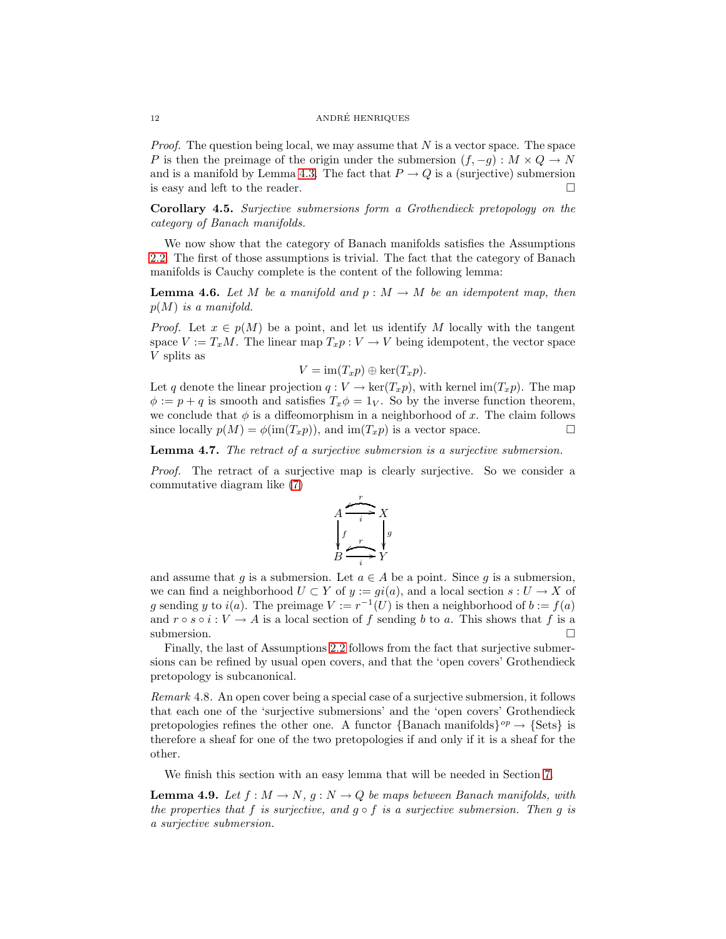*Proof.* The question being local, we may assume that N is a vector space. The space P is then the preimage of the origin under the submersion  $(f, -q): M \times Q \to N$ and is a manifold by Lemma [4.3.](#page-10-0) The fact that  $P \to Q$  is a (surjective) submersion is easy and left to the reader.

Corollary 4.5. *Surjective submersions form a Grothendieck pretopology on the category of Banach manifolds.*

We now show that the category of Banach manifolds satisfies the Assumptions [2.2.](#page-3-0) The first of those assumptions is trivial. The fact that the category of Banach manifolds is Cauchy complete is the content of the following lemma:

<span id="page-11-0"></span>**Lemma 4.6.** Let M be a manifold and  $p : M \to M$  be an idempotent map, then p(M) *is a manifold.*

*Proof.* Let  $x \in p(M)$  be a point, and let us identify M locally with the tangent space  $V := T_xM$ . The linear map  $T_xp : V \to V$  being idempotent, the vector space V splits as

$$
V = \operatorname{im}(T_x p) \oplus \ker(T_x p).
$$

Let q denote the linear projection  $q: V \to \text{ker}(T_x p)$ , with kernel im $(T_x p)$ . The map  $\phi := p + q$  is smooth and satisfies  $T_x \phi = 1_V$ . So by the inverse function theorem, we conclude that  $\phi$  is a diffeomorphism in a neighborhood of x. The claim follows since locally  $p(M) = \phi(\text{im}(T_x p))$ , and  $\text{im}(T_x p)$  is a vector space.

Lemma 4.7. *The retract of a surjective submersion is a surjective submersion.*

*Proof.* The retract of a surjective map is clearly surjective. So we consider a commutative diagram like [\(7\)](#page-3-1)



and assume that g is a submersion. Let  $a \in A$  be a point. Since g is a submersion, we can find a neighborhood  $U \subset Y$  of  $y := gi(a)$ , and a local section  $s : U \to X$  of g sending y to  $i(a)$ . The preimage  $V := r^{-1}(U)$  is then a neighborhood of  $b := f(a)$ and  $r \circ s \circ i : V \to A$  is a local section of f sending b to a. This shows that f is a submersion.  $\Box$ 

Finally, the last of Assumptions [2.2](#page-3-0) follows from the fact that surjective submersions can be refined by usual open covers, and that the 'open covers' Grothendieck pretopology is subcanonical.

*Remark* 4.8*.* An open cover being a special case of a surjective submersion, it follows that each one of the 'surjective submersions' and the 'open covers' Grothendieck pretopologies refines the other one. A functor  $\{Banach\ manifold\}^{op} \to \{Sets\}$  is therefore a sheaf for one of the two pretopologies if and only if it is a sheaf for the other.

<span id="page-11-1"></span>We finish this section with an easy lemma that will be needed in Section [7.](#page-20-0)

**Lemma 4.9.** *Let*  $f : M \to N$ ,  $g : N \to Q$  *be maps between Banach manifolds, with the properties that* f *is surjective, and* g ◦ f *is a surjective submersion. Then* g *is a surjective submersion.*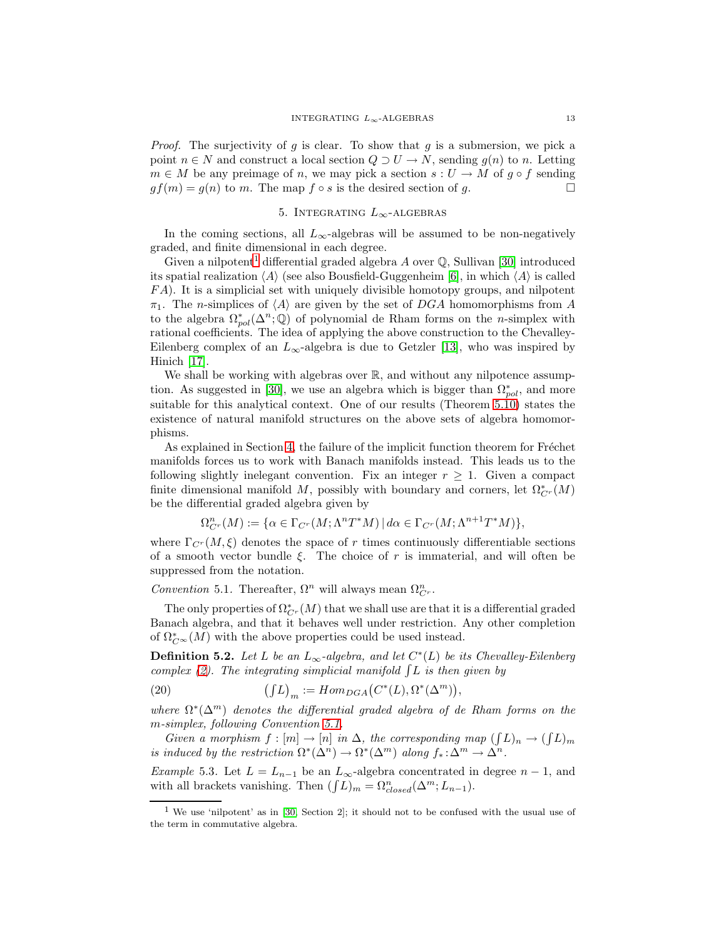*Proof.* The surjectivity of g is clear. To show that g is a submersion, we pick a point  $n \in N$  and construct a local section  $Q \supset U \to N$ , sending  $g(n)$  to n. Letting  $m \in M$  be any preimage of n, we may pick a section  $s: U \to M$  of g  $\circ f$  sending  $gf(m) = g(n)$  to m. The map  $f \circ s$  is the desired section of g.

# 5. INTEGRATING  $L_{\infty}$ -ALGEBRAS

<span id="page-12-0"></span>In the coming sections, all  $L_{\infty}$ -algebras will be assumed to be non-negatively graded, and finite dimensional in each degree.

Given a nilpotent<sup>[1](#page-12-1)</sup> differential graded algebra A over  $\mathbb Q$ , Sullivan [\[30\]](#page-31-5) introduced its spatial realization  $\langle A \rangle$  (see also Bousfield-Guggenheim [\[6\]](#page-30-8), in which  $\langle A \rangle$  is called FA). It is a simplicial set with uniquely divisible homotopy groups, and nilpotent  $\pi_1$ . The n-simplices of  $\langle A \rangle$  are given by the set of DGA homomorphisms from A to the algebra  $\Omega_{pol}^*(\Delta^n; \mathbb{Q})$  of polynomial de Rham forms on the *n*-simplex with rational coefficients. The idea of applying the above construction to the Chevalley-Eilenberg complex of an  $L_{\infty}$ -algebra is due to Getzler [\[13\]](#page-30-10), who was inspired by Hinich [\[17\]](#page-30-9).

We shall be working with algebras over  $\mathbb{R}$ , and without any nilpotence assump-tion. As suggested in [\[30\]](#page-31-5), we use an algebra which is bigger than  $\Omega_{pol}^*$ , and more suitable for this analytical context. One of our results (Theorem [5.10\)](#page-15-0) states the existence of natural manifold structures on the above sets of algebra homomorphisms.

As explained in Section [4,](#page-10-1) the failure of the implicit function theorem for Fréchet manifolds forces us to work with Banach manifolds instead. This leads us to the following slightly inelegant convention. Fix an integer  $r \geq 1$ . Given a compact finite dimensional manifold M, possibly with boundary and corners, let  $\Omega_{C}^*(M)$ be the differential graded algebra given by

 $\Omega_{C}^{n}(M) := \{ \alpha \in \Gamma_{C^{r}}(M; \Lambda^{n}T^{*}M) \mid d\alpha \in \Gamma_{C^{r}}(M; \Lambda^{n+1}T^{*}M) \},$ 

where  $\Gamma_{C_r}(M,\xi)$  denotes the space of r times continuously differentiable sections of a smooth vector bundle  $\xi$ . The choice of r is immaterial, and will often be suppressed from the notation.

<span id="page-12-2"></span>*Convention* 5.1. Thereafter,  $\Omega^n$  will always mean  $\Omega^n_{C^r}$ .

The only properties of  $\Omega_{C}^* (M)$  that we shall use are that it is a differential graded Banach algebra, and that it behaves well under restriction. Any other completion of  $\Omega_{C^{\infty}}^{*}(M)$  with the above properties could be used instead.

**Definition 5.2.** Let L be an  $L_{\infty}$ -algebra, and let  $C^*(L)$  be its Chevalley-Eilenberg *complex* [\(2\)](#page-0-1). The integrating simplicial manifold  $\int L$  is then given by

<span id="page-12-4"></span>(20) 
$$
\left(\int L\right)_m := Hom_{DGA}\left(C^*(L), \Omega^*(\Delta^m)\right),
$$

where  $\Omega^*(\Delta^m)$  *denotes the differential graded algebra of de Rham forms on the* m*-simplex, following Convention [5.1.](#page-12-2)*

*Given a morphism*  $f : [m] \to [n]$  *in*  $\Delta$ *, the corresponding map*  $(fL)_n \to (fL)_m$ *is induced by the restriction*  $\Omega^*(\Delta^n) \to \Omega^*(\Delta^m)$  *along*  $f_* : \Delta^m \to \Delta^n$ .

<span id="page-12-3"></span>*Example* 5.3. Let  $L = L_{n-1}$  be an  $L_{\infty}$ -algebra concentrated in degree  $n-1$ , and with all brackets vanishing. Then  $(\int L)_m = \Omega^n_{closed}(\Delta^m; L_{n-1})$ .

<span id="page-12-1"></span><sup>1</sup> We use 'nilpotent' as in [\[30,](#page-31-5) Section 2]; it should not to be confused with the usual use of the term in commutative algebra.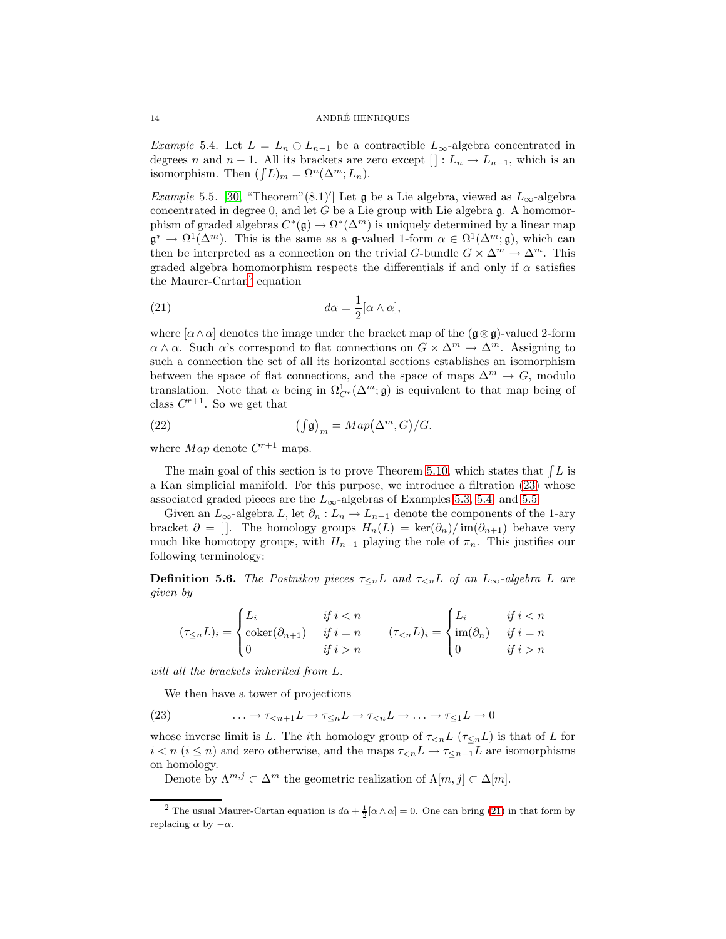<span id="page-13-2"></span>*Example* 5.4*.* Let  $L = L_n \oplus L_{n-1}$  be a contractible  $L_{\infty}$ -algebra concentrated in degrees n and  $n-1$ . All its brackets are zero except  $[] : L_n \to L_{n-1}$ , which is an isomorphism. Then  $(\int L)_m = \Omega^n(\Delta^m; L_n)$ .

<span id="page-13-3"></span>*Example* 5.5. [\[30,](#page-31-5) "Theorem"(8.1)'] Let  $\mathfrak g$  be a Lie algebra, viewed as  $L_{\infty}$ -algebra concentrated in degree 0, and let G be a Lie group with Lie algebra  $\mathfrak{g}$ . A homomorphism of graded algebras  $C^*(\mathfrak{g}) \to \Omega^*(\Delta^m)$  is uniquely determined by a linear map  $\mathfrak{g}^* \to \Omega^1(\Delta^m)$ . This is the same as a g-valued 1-form  $\alpha \in \Omega^1(\Delta^m; \mathfrak{g})$ , which can then be interpreted as a connection on the trivial G-bundle  $G \times \Delta^m \to \Delta^m$ . This graded algebra homomorphism respects the differentials if and only if  $\alpha$  satisfies the Maurer-Cartan<sup>[2](#page-13-0)</sup> equation

<span id="page-13-4"></span>(21) 
$$
d\alpha = \frac{1}{2} [\alpha \wedge \alpha],
$$

where  $\alpha \wedge \alpha$  denotes the image under the bracket map of the  $(\mathfrak{g} \otimes \mathfrak{g})$ -valued 2-form  $\alpha \wedge \alpha$ . Such  $\alpha$ 's correspond to flat connections on  $G \times \Delta^m \to \Delta^m$ . Assigning to such a connection the set of all its horizontal sections establishes an isomorphism between the space of flat connections, and the space of maps  $\Delta^m \to G$ , modulo translation. Note that  $\alpha$  being in  $\Omega^1_{C^r}(\Delta^m; \mathfrak{g})$  is equivalent to that map being of class  $C^{r+1}$ . So we get that

<span id="page-13-6"></span>(22) 
$$
\left(\int \mathfrak{g}\right)_m = Map\left(\Delta^m, G\right)/G.
$$

where  $Map$  denote  $C^{r+1}$  maps.

The main goal of this section is to prove Theorem [5.10,](#page-15-0) which states that  $\int L$  is a Kan simplicial manifold. For this purpose, we introduce a filtration [\(23\)](#page-13-1) whose associated graded pieces are the  $L_{\infty}$ -algebras of Examples [5.3,](#page-12-3) [5.4,](#page-13-2) and [5.5.](#page-13-3)

Given an  $L_{\infty}$ -algebra L, let  $\partial_n: L_n \to L_{n-1}$  denote the components of the 1-ary bracket  $\partial = []$ . The homology groups  $H_n(L) = \text{ker}(\partial_n)/\text{im}(\partial_{n+1})$  behave very much like homotopy groups, with  $H_{n-1}$  playing the role of  $\pi_n$ . This justifies our following terminology:

**Definition 5.6.** *The Postnikov pieces*  $\tau \leq nL$  *and*  $\tau \leq nL$  *of an*  $L_{\infty}$ *-algebra L are given by*

$$
(\tau_{\leq n}L)_i = \begin{cases} L_i & \text{if } i < n \\ \operatorname{coker}(\partial_{n+1}) & \text{if } i = n \\ 0 & \text{if } i > n \end{cases} \qquad (\tau_{\leq n}L)_i = \begin{cases} L_i & \text{if } i < n \\ \operatorname{im}(\partial_n) & \text{if } i = n \\ 0 & \text{if } i > n \end{cases}
$$

*will all the brackets inherited from* L*.*

<span id="page-13-1"></span>We then have a tower of projections

(23)  $\cdots \rightarrow \tau_{\leq n+1}L \rightarrow \tau_{\leq n}L \rightarrow \tau_{\leq n}L \rightarrow \cdots \rightarrow \tau_{\leq 1}L \rightarrow 0$ 

whose inverse limit is L. The *i*th homology group of  $\tau_{\leq n}L$  ( $\tau_{\leq n}L$ ) is that of L for  $i < n$  ( $i \le n$ ) and zero otherwise, and the maps  $\tau_{\le n}L \to \tau_{\le n-1}L$  are isomorphisms on homology.

<span id="page-13-5"></span>Denote by  $\Lambda^{m,j} \subset \Delta^m$  the geometric realization of  $\Lambda[m,j] \subset \Delta[m]$ .

<span id="page-13-0"></span><sup>&</sup>lt;sup>2</sup> The usual Maurer-Cartan equation is  $d\alpha + \frac{1}{2}[\alpha \wedge \alpha] = 0$ . One can bring [\(21\)](#page-13-4) in that form by replacing  $\alpha$  by  $-\alpha$ .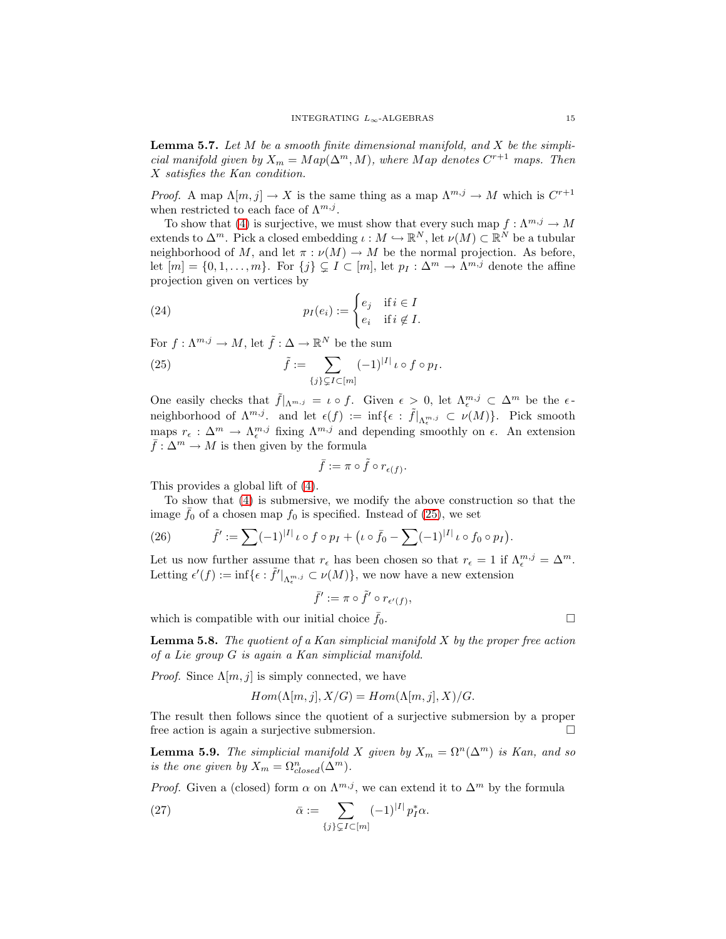Lemma 5.7. *Let* M *be a smooth finite dimensional manifold, and* X *be the simplicial manifold given by*  $X_m = Map(\Delta^m, M)$ *, where* Map *denotes*  $C^{r+1}$  *maps. Then* X *satisfies the Kan condition.*

*Proof.* A map  $\Lambda[m, j] \to X$  is the same thing as a map  $\Lambda^{m, j} \to M$  which is  $C^{r+1}$ when restricted to each face of  $\Lambda^{m,j}$ .

To show that [\(4\)](#page-2-0) is surjective, we must show that every such map  $f: \Lambda^{m,j} \to M$ extends to  $\Delta^m$ . Pick a closed embedding  $\iota: M \hookrightarrow \mathbb{R}^N$ , let  $\nu(M) \subset \mathbb{R}^N$  be a tubular neighborhood of M, and let  $\pi : \nu(M) \to M$  be the normal projection. As before, let  $[m] = \{0, 1, \ldots, m\}$ . For  $\{j\} \subsetneq I \subset [m]$ , let  $p_I : \Delta^m \to \Lambda^{m, j}$  denote the affine projection given on vertices by

<span id="page-14-5"></span>(24) 
$$
p_I(e_i) := \begin{cases} e_j & \text{if } i \in I \\ e_i & \text{if } i \notin I. \end{cases}
$$

For  $f: \Lambda^{m,j} \to M$ , let  $\tilde{f}: \Delta \to \mathbb{R}^N$  be the sum

(25) 
$$
\tilde{f} := \sum_{\{j\} \subsetneq I \subset [m]} (-1)^{|I|} \iota \circ f \circ p_I.
$$

One easily checks that  $\tilde{f}|_{\Lambda^{m,j}} = \iota \circ f$ . Given  $\epsilon > 0$ , let  $\Lambda_{\epsilon}^{m,j} \subset \Delta^m$  be the  $\epsilon$ neighborhood of  $\Lambda^{m,j}$ , and let  $\epsilon(f) := \inf \{ \epsilon : \tilde{f}|_{\Lambda_{\epsilon}^{m,j}} \subset \nu(M) \}$ . Pick smooth maps  $r_{\epsilon}: \Delta^m \to \Lambda_{\epsilon}^{m,j}$  fixing  $\Lambda^{m,j}$  and depending smoothly on  $\epsilon$ . An extension  $\bar{f}: \Delta^m \to M$  is then given by the formula

<span id="page-14-0"></span>
$$
\bar{f} := \pi \circ \tilde{f} \circ r_{\epsilon(f)}.
$$

This provides a global lift of [\(4\)](#page-2-0).

To show that [\(4\)](#page-2-0) is submersive, we modify the above construction so that the image  $\bar{f}_0$  of a chosen map  $f_0$  is specified. Instead of [\(25\)](#page-14-0), we set

<span id="page-14-2"></span>(26) 
$$
\tilde{f}' := \sum (-1)^{|I|} \iota \circ f \circ p_I + (\iota \circ \bar{f}_0 - \sum (-1)^{|I|} \iota \circ f_0 \circ p_I).
$$

Let us now further assume that  $r_{\epsilon}$  has been chosen so that  $r_{\epsilon} = 1$  if  $\Lambda_{\epsilon}^{m,j} = \Delta^m$ . Letting  $\epsilon'(f) := \inf \{ \epsilon : \tilde{f}'|_{\Lambda_{\epsilon}^{m,j}} \subset \nu(M) \},$  we now have a new extension

$$
\bar{f}' := \pi \circ \tilde{f}' \circ r_{\epsilon'(f)},
$$

<span id="page-14-3"></span>which is compatible with our initial choice  $\bar{f}_0$ .

Lemma 5.8. *The quotient of a Kan simplicial manifold* X *by the proper free action of a Lie group* G *is again a Kan simplicial manifold.*

*Proof.* Since  $\Lambda[m, j]$  is simply connected, we have

<span id="page-14-1"></span> $Hom(\Lambda[m,j], X/G) = Hom(\Lambda[m,j], X)/G.$ 

<span id="page-14-4"></span>The result then follows since the quotient of a surjective submersion by a proper free action is again a surjective submersion.

**Lemma 5.9.** *The simplicial manifold* X *given by*  $X_m = \Omega^n(\Delta^m)$  *is Kan, and so is the one given by*  $X_m = \Omega^n_{closed}(\Delta^m)$ .

*Proof.* Given a (closed) form  $\alpha$  on  $\Lambda^{m,j}$ , we can extend it to  $\Delta^m$  by the formula

(27) 
$$
\bar{\alpha} := \sum_{\{j\} \subsetneq I \subset [m]} (-1)^{|I|} p_I^* \alpha.
$$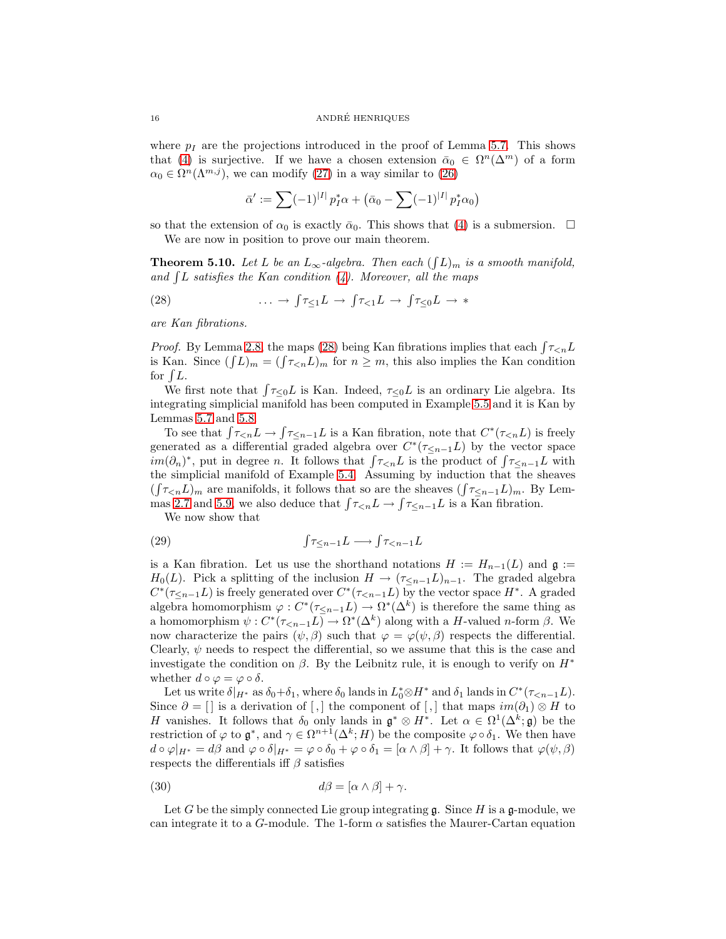where  $p_I$  are the projections introduced in the proof of Lemma [5.7.](#page-13-5) This shows that [\(4\)](#page-2-0) is surjective. If we have a chosen extension  $\bar{\alpha}_0 \in \Omega^n(\Delta^m)$  of a form  $\alpha_0 \in \Omega^n(\Lambda^{m,j})$ , we can modify [\(27\)](#page-14-1) in a way similar to [\(26\)](#page-14-2)

<span id="page-15-1"></span>
$$
\bar{\alpha}' := \sum (-1)^{|I|} p_I^* \alpha + (\bar{\alpha}_0 - \sum (-1)^{|I|} p_I^* \alpha_0)
$$

so that the extension of  $\alpha_0$  is exactly  $\bar{\alpha}_0$ . This shows that [\(4\)](#page-2-0) is a submersion.  $\Box$ 

<span id="page-15-0"></span>We are now in position to prove our main theorem.

**Theorem 5.10.** *Let L be an*  $L_{\infty}$ -algebra. Then each  $(\int L)_{m}$  *is a smooth manifold,* and  $\int L$  satisfies the Kan condition  $(4)$ *. Moreover, all the maps* 

(28) 
$$
\dots \to \int \tau_{\leq 1} L \to \int \tau_{< 1} L \to \int \tau_{\leq 0} L \to *
$$

*are Kan fibrations.*

*Proof.* By Lemma [2.8,](#page-5-2) the maps [\(28\)](#page-15-1) being Kan fibrations implies that each  $\int \tau_{\leq n} L$ is Kan. Since  $(\int L)_m = (\int \tau_{\le n} L)_m$  for  $n \ge m$ , this also implies the Kan condition for  $\int L$ .

We first note that  $\int \tau_{\leq 0} L$  is Kan. Indeed,  $\tau_{\leq 0} L$  is an ordinary Lie algebra. Its integrating simplicial manifold has been computed in Example [5.5](#page-13-3) and it is Kan by Lemmas [5.7](#page-13-5) and [5.8.](#page-14-3)

To see that  $\int \tau_{\leq n} L \to \int \tau_{\leq n-1} L$  is a Kan fibration, note that  $C^*(\tau_{\leq n} L)$  is freely generated as a differential graded algebra over  $C^*(\tau_{\leq n-1}L)$  by the vector space  $im(\partial_n)^*$ , put in degree n. It follows that  $\int \tau_{\leq n} L$  is the product of  $\int \tau_{\leq n-1} L$  with the simplicial manifold of Example [5.4.](#page-13-2) Assuming by induction that the sheaves  $(\int \tau_{\leq n} L)_m$  are manifolds, it follows that so are the sheaves  $(\int \tau_{\leq n-1} L)_m$ . By Lem-mas [2.7](#page-5-3) and [5.9,](#page-14-4) we also deduce that  $\int \tau_{\leq n} L \to \int \tau_{\leq n-1} L$  is a Kan fibration.

<span id="page-15-3"></span>We now show that

(29) 
$$
\int \tau_{\leq n-1} L \longrightarrow \int \tau_{\leq n-1} L
$$

is a Kan fibration. Let us use the shorthand notations  $H := H_{n-1}(L)$  and  $\mathfrak{g} :=$  $H_0(L)$ . Pick a splitting of the inclusion  $H \to (\tau \zeta_{n-1}L)_{n-1}$ . The graded algebra  $C^*(\tau_{\leq n-1}L)$  is freely generated over  $C^*(\tau_{\leq n-1}L)$  by the vector space  $H^*$ . A graded algebra homomorphism  $\varphi: C^*(\tau_{\leq n-1}L) \to \Omega^*(\Delta^k)$  is therefore the same thing as a homomorphism  $\psi: C^*(\tau_{\leq n-1}L) \to \Omega^*(\Delta^k)$  along with a H-valued n-form  $\beta$ . We now characterize the pairs  $(\psi, \beta)$  such that  $\varphi = \varphi(\psi, \beta)$  respects the differential. Clearly,  $\psi$  needs to respect the differential, so we assume that this is the case and investigate the condition on  $\beta$ . By the Leibnitz rule, it is enough to verify on  $H^*$ whether  $d \circ \varphi = \varphi \circ \delta$ .

Let us write  $\delta|_{H^*}$  as  $\delta_0 + \delta_1$ , where  $\delta_0$  lands in  $L_0^* \otimes H^*$  and  $\delta_1$  lands in  $C^*(\tau_{\leq n-1}L)$ . Since  $\partial = []$  is a derivation of [,] the component of [,] that maps  $im(\partial_1) \otimes H$  to H vanishes. It follows that  $\delta_0$  only lands in  $\mathfrak{g}^* \otimes H^*$ . Let  $\alpha \in \Omega^1(\Delta^k; \mathfrak{g})$  be the restriction of  $\varphi$  to  $\mathfrak{g}^*$ , and  $\gamma \in \Omega^{n+1}(\Delta^k; H)$  be the composite  $\varphi \circ \delta_1$ . We then have  $d \circ \varphi|_{H^*} = d\beta$  and  $\varphi \circ \delta|_{H^*} = \varphi \circ \delta_0 + \varphi \circ \delta_1 = [\alpha \wedge \beta] + \gamma$ . It follows that  $\varphi(\psi, \beta)$ respects the differentials iff  $\beta$  satisfies

<span id="page-15-2"></span>(30) 
$$
d\beta = [\alpha \wedge \beta] + \gamma.
$$

Let G be the simply connected Lie group integrating  $\mathfrak g$ . Since H is a  $\mathfrak g$ -module, we can integrate it to a G-module. The 1-form  $\alpha$  satisfies the Maurer-Cartan equation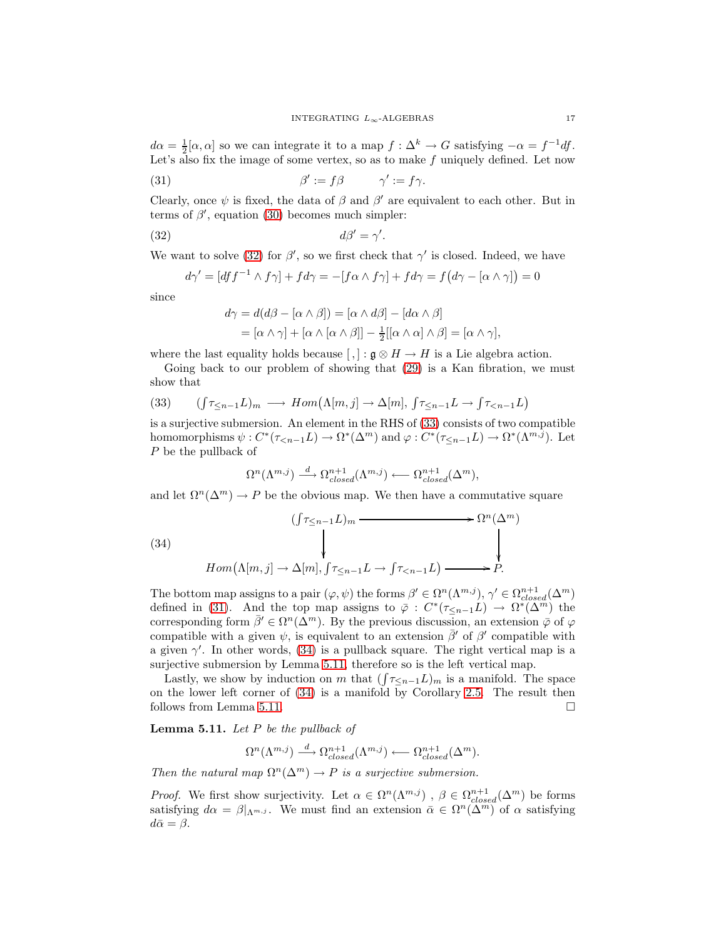$d\alpha = \frac{1}{2}[\alpha, \alpha]$  so we can integrate it to a map  $f : \Delta^k \to G$  satisfying  $-\alpha = f^{-1}df$ . Let's also fix the image of some vertex, so as to make  $f$  uniquely defined. Let now

(31) 
$$
\beta' := f\beta \qquad \gamma' := f\gamma.
$$

Clearly, once  $\psi$  is fixed, the data of  $\beta$  and  $\beta'$  are equivalent to each other. But in terms of  $\beta'$ , equation [\(30\)](#page-15-2) becomes much simpler:

$$
d\beta' = \gamma'.
$$

We want to solve [\(32\)](#page-16-0) for  $\beta'$ , so we first check that  $\gamma'$  is closed. Indeed, we have

<span id="page-16-2"></span>
$$
d\gamma' = [df f^{-1} \wedge f\gamma] + f d\gamma = -[f\alpha \wedge f\gamma] + f d\gamma = f (d\gamma - [\alpha \wedge \gamma]) = 0
$$

since

<span id="page-16-0"></span>
$$
d\gamma = d(d\beta - [\alpha \wedge \beta]) = [\alpha \wedge d\beta] - [d\alpha \wedge \beta]
$$
  
=  $[\alpha \wedge \gamma] + [\alpha \wedge [\alpha \wedge \beta]] - \frac{1}{2}[[\alpha \wedge \alpha] \wedge \beta] = [\alpha \wedge \gamma],$ 

where the last equality holds because  $[,]: \mathfrak{g} \otimes H \to H$  is a Lie algebra action.

Going back to our problem of showing that [\(29\)](#page-15-3) is a Kan fibration, we must show that

<span id="page-16-1"></span>(33) 
$$
(\int \tau_{\leq n-1} L)_m \longrightarrow Hom(\Lambda[m, j] \to \Delta[m], \int \tau_{\leq n-1} L \to \int \tau_{\leq n-1} L)
$$

is a surjective submersion. An element in the RHS of [\(33\)](#page-16-1) consists of two compatible homomorphisms  $\psi: C^*(\tau_{\leq n-1}L) \to \Omega^*(\Delta^m)$  and  $\varphi: C^*(\tau_{\leq n-1}L) \to \Omega^*(\Lambda^{m,j})$ . Let P be the pullback of

$$
\Omega^n(\Lambda^{m,j}) \xrightarrow{d} \Omega^{n+1}_{closed}(\Lambda^{m,j}) \longleftarrow \Omega^{n+1}_{closed}(\Delta^m),
$$

and let  $\Omega^n(\Delta^m) \to P$  be the obvious map. We then have a commutative square

<span id="page-16-3"></span>(34)  
\n
$$
\left(\int \tau_{\leq n-1} L\right)_m \xrightarrow{\longrightarrow} \Omega^n(\Delta^m)
$$
\n
$$
\downarrow
$$
\n
$$
Hom(\Lambda[m,j] \to \Delta[m], \int \tau_{\leq n-1} L \to \int \tau_{\leq n-1} L) \xrightarrow{\longrightarrow} P.
$$

The bottom map assigns to a pair  $(\varphi, \psi)$  the forms  $\beta' \in \Omega^n(\Lambda^{m,j}), \gamma' \in \Omega^{n+1}_{closed}(\Delta^m)$ defined in [\(31\)](#page-16-2). And the top map assigns to  $\overline{\varphi}: C^*(\tau_{\leq n-1}L) \to \Omega^*(\Delta^m)$  the corresponding form  $\bar{\beta}' \in \Omega^n(\Delta^m)$ . By the previous discussion, an extension  $\bar{\varphi}$  of  $\varphi$ compatible with a given  $\psi$ , is equivalent to an extension  $\bar{\beta}'$  of  $\beta'$  compatible with a given  $\gamma'$ . In other words, [\(34\)](#page-16-3) is a pullback square. The right vertical map is a surjective submersion by Lemma [5.11,](#page-16-4) therefore so is the left vertical map.

Lastly, we show by induction on m that  $(\int \tau_{\leq n-1}L)_m$  is a manifold. The space on the lower left corner of [\(34\)](#page-16-3) is a manifold by Corollary [2.5.](#page-5-4) The result then follows from Lemma [5.11.](#page-16-4)

<span id="page-16-4"></span>Lemma 5.11. *Let* P *be the pullback of*

$$
\Omega^n(\Lambda^{m,j}) \stackrel{d}{\longrightarrow} \Omega^{n+1}_{closed}(\Lambda^{m,j}) \longleftarrow \Omega^{n+1}_{closed}(\Delta^m).
$$

*Then the natural map*  $\Omega^n(\Delta^m) \to P$  *is a surjective submersion.* 

*Proof.* We first show surjectivity. Let  $\alpha \in \Omega^n(\Lambda^{m,j})$ ,  $\beta \in \Omega^{n+1}_{closed}(\Delta^m)$  be forms satisfying  $d\alpha = \beta|_{\Lambda^{m,j}}$ . We must find an extension  $\bar{\alpha} \in \Omega^n(\Delta^m)$  of  $\alpha$  satisfying  $d\bar{\alpha}=\beta$ .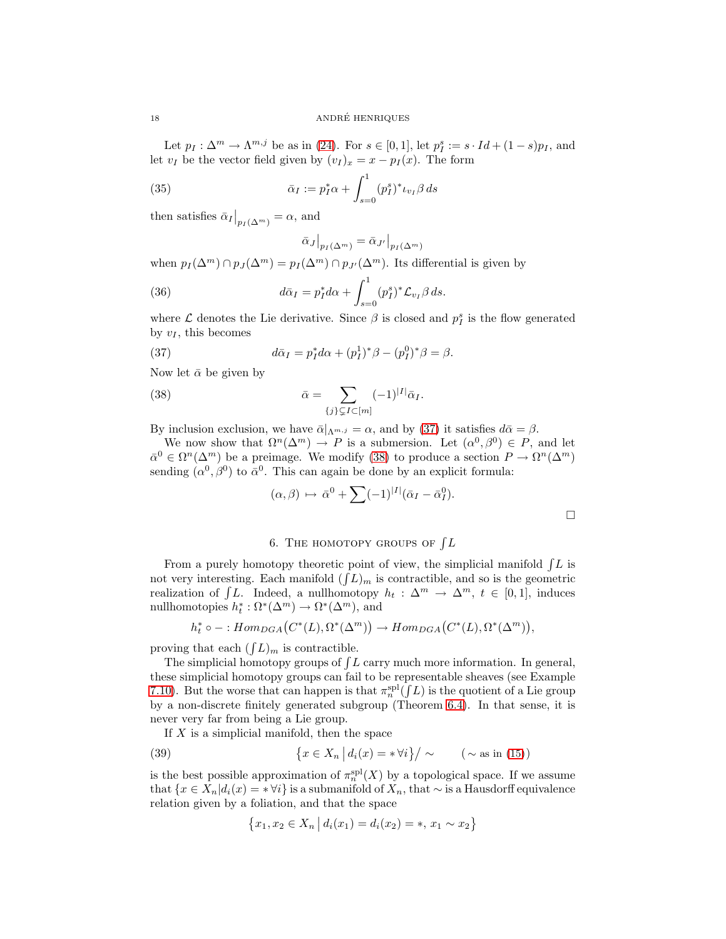Let  $p_I: \Delta^m \to \Lambda^{m,j}$  be as in [\(24\)](#page-14-5). For  $s \in [0,1]$ , let  $p_I^s := s \cdot Id + (1-s)p_I$ , and let  $v_I$  be the vector field given by  $(v_I)_x = x - p_I(x)$ . The form

(35) 
$$
\bar{\alpha}_I := p_I^* \alpha + \int_{s=0}^1 (p_I^s)^* \iota_{v_I} \beta \, ds
$$

then satisfies  $\bar{\alpha}_I|_{p_I(\Delta^m)} = \alpha$ , and

<span id="page-17-1"></span>
$$
\bar{\alpha}_J\big|_{p_I(\Delta^m)} = \bar{\alpha}_{J'}\big|_{p_I(\Delta^m)}
$$

when  $p_I(\Delta^m) \cap p_J(\Delta^m) = p_I(\Delta^m) \cap p_{J'}(\Delta^m)$ . Its differential is given by

(36) 
$$
d\bar{\alpha}_I = p_I^* d\alpha + \int_{s=0}^1 (p_I^s)^* \mathcal{L}_{v_I} \beta ds.
$$

where  $\mathcal L$  denotes the Lie derivative. Since  $\beta$  is closed and  $p_I^s$  is the flow generated by  $v_I$ , this becomes

(37) 
$$
d\bar{\alpha}_I = p_I^* d\alpha + (p_I^1)^* \beta - (p_I^0)^* \beta = \beta.
$$

Now let  $\bar{\alpha}$  be given by

(38) 
$$
\bar{\alpha} = \sum_{\{j\} \subsetneq I \subset [m]} (-1)^{|I|} \bar{\alpha}_I.
$$

By inclusion exclusion, we have  $\bar{\alpha}|_{\Lambda^{m,j}} = \alpha$ , and by [\(37\)](#page-17-1) it satisfies  $d\bar{\alpha} = \beta$ .

We now show that  $\Omega^n(\Delta^m) \to P$  is a submersion. Let  $(\alpha^0, \beta^0) \in P$ , and let  $\bar{\alpha}^0 \in \Omega^n(\Delta^m)$  be a preimage. We modify [\(38\)](#page-17-2) to produce a section  $P \to \Omega^n(\Delta^m)$ sending  $(\alpha^0, \beta^0)$  to  $\bar{\alpha}^0$ . This can again be done by an explicit formula:

<span id="page-17-2"></span>
$$
(\alpha, \beta) \mapsto \bar{\alpha}^0 + \sum (-1)^{|I|} (\bar{\alpha}_I - \bar{\alpha}_I^0).
$$

# 6. THE HOMOTOPY GROUPS OF  $\int L$

<span id="page-17-0"></span>From a purely homotopy theoretic point of view, the simplicial manifold  $\int L$  is not very interesting. Each manifold  $(\bar{f}L)_m$  is contractible, and so is the geometric realization of  $\int L$ . Indeed, a nullhomotopy  $h_t : \Delta^m \to \Delta^m$ ,  $t \in [0,1]$ , induces nullhomotopies  $h_t^* : \Omega^*(\Delta^m) \to \Omega^*(\Delta^m)$ , and

$$
h_t^* \circ - : Hom_{DGA}(C^*(L), \Omega^*(\Delta^m)) \to Hom_{DGA}(C^*(L), \Omega^*(\Delta^m)),
$$

proving that each  $(\int L)_m$  is contractible.

The simplicial homotopy groups of  $\int L$  carry much more information. In general, these simplicial homotopy groups can fail to be representable sheaves (see Example [7.10\)](#page-23-0). But the worse that can happen is that  $\pi_n^{\text{spl}}(\tilde{f}L)$  is the quotient of a Lie group by a non-discrete finitely generated subgroup (Theorem [6.4\)](#page-18-0). In that sense, it is never very far from being a Lie group.

<span id="page-17-3"></span>If  $X$  is a simplicial manifold, then the space

(39) 
$$
\{x \in X_n \mid d_i(x) = * \forall i\} / \sim \qquad (\sim \text{ as in (15)})
$$

is the best possible approximation of  $\pi_n^{\text{spl}}(X)$  by a topological space. If we assume that  $\{x \in X_n | d_i(x) = * \forall i\}$  is a submanifold of  $X_n$ , that  $\sim$  is a Hausdorff equivalence relation given by a foliation, and that the space

$$
\{x_1, x_2 \in X_n \, \big| \, d_i(x_1) = d_i(x_2) = *, \, x_1 \sim x_2 \}
$$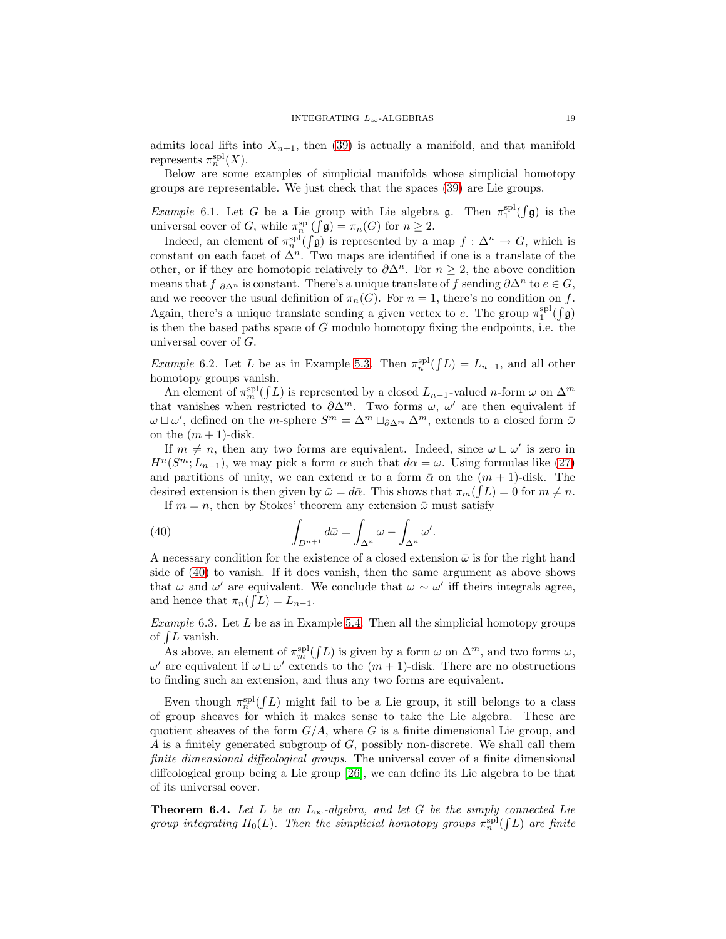admits local lifts into  $X_{n+1}$ , then [\(39\)](#page-17-3) is actually a manifold, and that manifold represents  $\pi_n^{\text{spl}}(X)$ .

<span id="page-18-2"></span>Below are some examples of simplicial manifolds whose simplicial homotopy groups are representable. We just check that the spaces [\(39\)](#page-17-3) are Lie groups.

*Example* 6.1. Let G be a Lie group with Lie algebra  $\mathfrak{g}$ . Then  $\pi_1^{\text{spl}}(\int \mathfrak{g})$  is the universal cover of G, while  $\pi_n^{\text{spl}}(\int \mathfrak{g}) = \pi_n(G)$  for  $n \geq 2$ .

Indeed, an element of  $\pi_n^{\text{spl}}(f\mathfrak{g})$  is represented by a map  $f: \Delta^n \to G$ , which is constant on each facet of  $\Delta^n$ . Two maps are identified if one is a translate of the other, or if they are homotopic relatively to  $\partial \Delta^n$ . For  $n \geq 2$ , the above condition means that  $f|_{\partial \Delta^n}$  is constant. There's a unique translate of f sending  $\partial \Delta^n$  to  $e \in G$ , and we recover the usual definition of  $\pi_n(G)$ . For  $n = 1$ , there's no condition on f. Again, there's a unique translate sending a given vertex to e. The group  $\pi_1^{\text{spl}}(\int \mathfrak{g})$ is then the based paths space of  $G$  modulo homotopy fixing the endpoints, i.e. the universal cover of G.

<span id="page-18-4"></span>*Example* 6.2. Let L be as in Example [5.3.](#page-12-3) Then  $\pi_n^{\text{spl}}(f) = L_{n-1}$ , and all other homotopy groups vanish.

An element of  $\pi_m^{\text{spl}}(fL)$  is represented by a closed  $L_{n-1}$ -valued n-form  $\omega$  on  $\Delta^m$ that vanishes when restricted to  $\partial \Delta^m$ . Two forms  $\omega$ ,  $\omega'$  are then equivalent if  $\omega \sqcup \omega'$ , defined on the *m*-sphere  $S^m = \Delta^m \sqcup_{\partial \Delta^m} \Delta^m$ , extends to a closed form  $\bar{\omega}$ on the  $(m + 1)$ -disk.

If  $m \neq n$ , then any two forms are equivalent. Indeed, since  $\omega \sqcup \omega'$  is zero in  $H<sup>n</sup>(S<sup>m</sup>; L<sub>n-1</sub>)$ , we may pick a form  $\alpha$  such that  $d\alpha = \omega$ . Using formulas like [\(27\)](#page-14-1) and partitions of unity, we can extend  $\alpha$  to a form  $\bar{\alpha}$  on the  $(m + 1)$ -disk. The desired extension is then given by  $\bar{\omega} = d\bar{\alpha}$ . This shows that  $\pi_m(\hat{f}_L) = 0$  for  $m \neq n$ .

<span id="page-18-1"></span>If  $m = n$ , then by Stokes' theorem any extension  $\bar{\omega}$  must satisfy

(40) 
$$
\int_{D^{n+1}} d\bar{\omega} = \int_{\Delta^n} \omega - \int_{\Delta^n} \omega'.
$$

A necessary condition for the existence of a closed extension  $\bar{\omega}$  is for the right hand side of [\(40\)](#page-18-1) to vanish. If it does vanish, then the same argument as above shows that  $\omega$  and  $\omega'$  are equivalent. We conclude that  $\omega \sim \omega'$  iff theirs integrals agree, and hence that  $\pi_n(\bar{f}_L) = L_{n-1}$ .

<span id="page-18-3"></span>*Example* 6.3*.* Let L be as in Example [5.4.](#page-13-2) Then all the simplicial homotopy groups of  $\int L$  vanish.

As above, an element of  $\pi_m^{\text{spl}}(fL)$  is given by a form  $\omega$  on  $\Delta^m$ , and two forms  $\omega$ ,  $ω'$  are equivalent if  $ω ⊔ ω'$  extends to the  $(m + 1)$ -disk. There are no obstructions to finding such an extension, and thus any two forms are equivalent.

Even though  $\pi_n^{\text{spl}}(fL)$  might fail to be a Lie group, it still belongs to a class of group sheaves for which it makes sense to take the Lie algebra. These are quotient sheaves of the form  $G/A$ , where G is a finite dimensional Lie group, and A is a finitely generated subgroup of  $G$ , possibly non-discrete. We shall call them *finite dimensional diffeological groups*. The universal cover of a finite dimensional diffeological group being a Lie group [\[26\]](#page-31-7), we can define its Lie algebra to be that of its universal cover.

<span id="page-18-0"></span>**Theorem 6.4.** Let L be an  $L_{\infty}$ -algebra, and let G be the simply connected Lie *group integrating*  $H_0(L)$ . Then the simplicial homotopy groups  $\pi_n^{\text{spl}}(\int L)$  are finite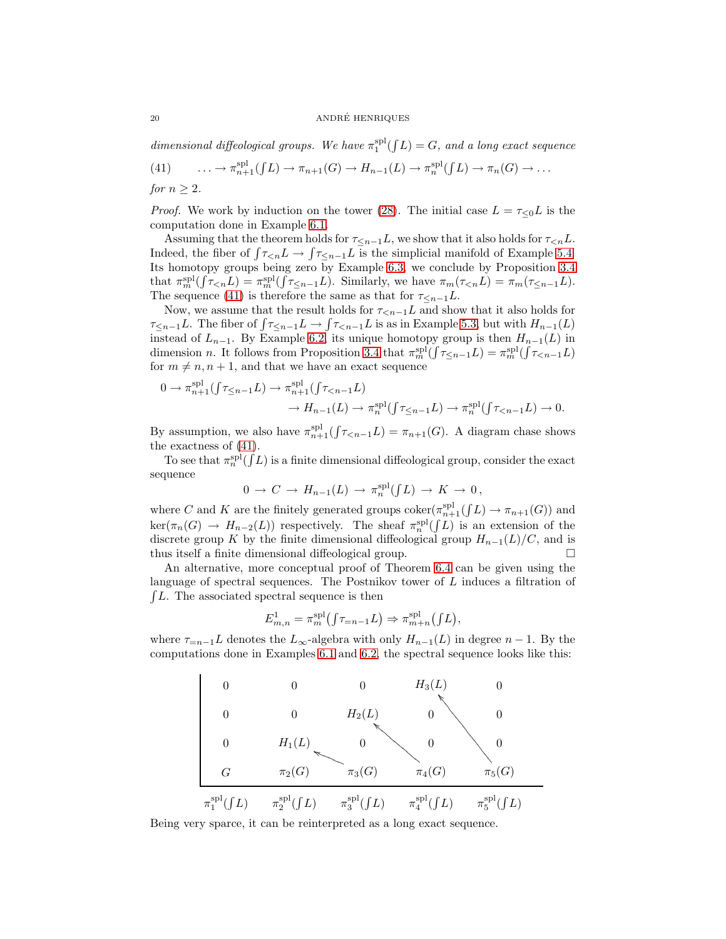dimensional diffeological groups. We have  $\pi_1^{\text{spl}}(fL) = G$ , and a long exact sequence

<span id="page-19-0"></span>(41) 
$$
\ldots \to \pi_{n+1}^{\text{spl}}(fL) \to \pi_{n+1}(G) \to H_{n-1}(L) \to \pi_n^{\text{spl}}(fL) \to \pi_n(G) \to \ldots
$$

*for*  $n \geq 2$ *.* 

*Proof.* We work by induction on the tower [\(28\)](#page-15-1). The initial case  $L = \tau \lt 0$  is the computation done in Example [6.1.](#page-18-2)

Assuming that the theorem holds for  $\tau \leq n-1$ , we show that it also holds for  $\tau \leq n$ L. Indeed, the fiber of  $\int \tau_{\leq n} L \to \int \tau_{\leq n-1} L$  is the simplicial manifold of Example [5.4.](#page-13-2) Its homotopy groups being zero by Example [6.3,](#page-18-3) we conclude by Proposition [3.4](#page-8-1) that  $\pi_m^{\text{spl}}(\int \! \tau_{\leq n} L) = \pi_m^{\text{spl}}(\int \! \tau_{\leq n-1} L)$ . Similarly, we have  $\pi_m(\tau_{\leq n} L) = \pi_m(\tau_{\leq n-1} L)$ . The sequence [\(41\)](#page-19-0) is therefore the same as that for  $\tau_{\leq n-1}L$ .

Now, we assume that the result holds for  $\tau_{\leq n-1}L$  and show that it also holds for  $\tau_{\leq n-1}L$ . The fiber of  $\int \tau_{\leq n-1}L \to \int \tau_{\leq n-1}L$  is as in Example [5.3,](#page-12-3) but with  $H_{n-1}(L)$ instead of  $L_{n-1}$ . By Example [6.2,](#page-18-4) its unique homotopy group is then  $H_{n-1}(L)$  in dimension *n*. It follows from Proposition [3.4](#page-8-1) that  $\pi_m^{\text{spl}}(\int \tau_{\leq n-1}L) = \pi_m^{\text{spl}}(\int \tau_{\leq n-1}L)$ for  $m \neq n, n + 1$ , and that we have an exact sequence

$$
0 \to \pi_{n+1}^{\text{spl}}(\int \tau_{\leq n-1}L) \to \pi_{n+1}^{\text{spl}}(\int \tau_{\leq n-1}L) \\
 \to H_{n-1}(L) \to \pi_n^{\text{spl}}(\int \tau_{\leq n-1}L) \to \pi_n^{\text{spl}}(\int \tau_{\leq n-1}L) \to 0.
$$

By assumption, we also have  $\pi_{n+1}^{\text{spl}}(f_{\tau(n-1)}L) = \pi_{n+1}(G)$ . A diagram chase shows the exactness of [\(41\)](#page-19-0).

To see that  $\pi_n^{\text{spl}}(\hat{f}_L)$  is a finite dimensional diffeological group, consider the exact sequence

$$
0 \to C \to H_{n-1}(L) \to \pi_n^{\rm spl}(fL) \to K \to 0,
$$

where C and K are the finitely generated groups  $\mathrm{coker}(\pi_{n+1}^{\mathrm{spl}}(fL) \to \pi_{n+1}(G))$  and  $\ker(\pi_n(G) \to H_{n-2}(L))$  respectively. The sheaf  $\pi_n^{\text{spl}}(fL)$  is an extension of the discrete group K by the finite dimensional diffeological group  $H_{n-1}(L)/C$ , and is thus itself a finite dimensional diffeological group.

An alternative, more conceptual proof of Theorem [6.4](#page-18-0) can be given using the language of spectral sequences. The Postnikov tower of L induces a filtration of  $\int L$ . The associated spectral sequence is then

$$
E_{m,n}^1 = \pi_m^{\text{spl}}(f\tau_{=n-1}L) \Rightarrow \pi_{m+n}^{\text{spl}}(fL),
$$

where  $\tau_{=n-1}L$  denotes the  $L_{\infty}$ -algebra with only  $H_{n-1}(L)$  in degree  $n-1$ . By the computations done in Examples [6.1](#page-18-2) and [6.2,](#page-18-4) the spectral sequence looks like this:



Being very sparce, it can be reinterpreted as a long exact sequence.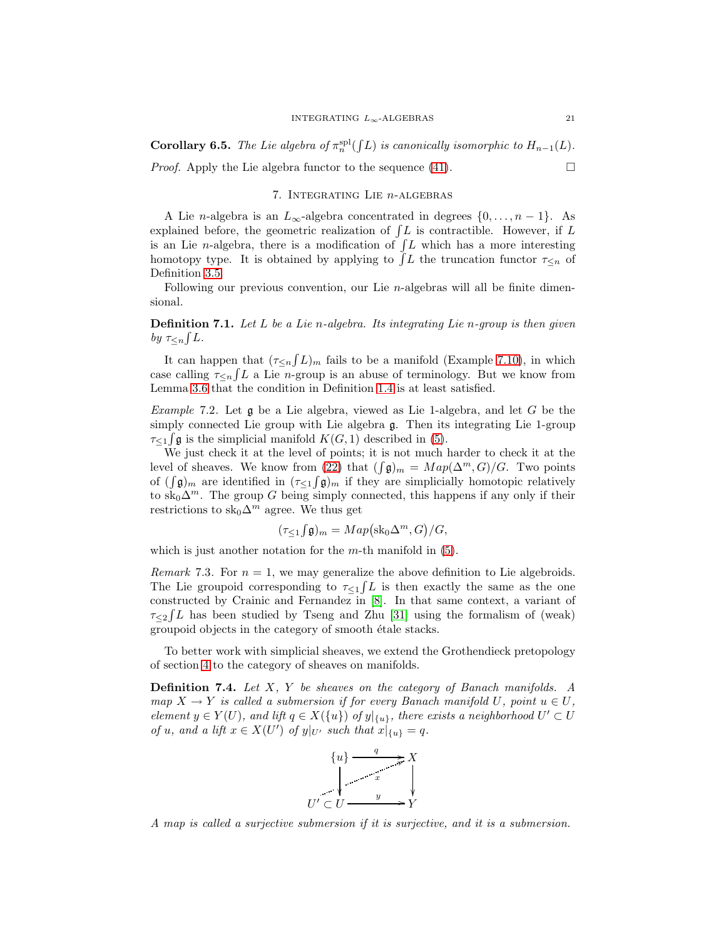**Corollary 6.5.** *The Lie algebra of*  $\pi_n^{\text{spl}}(fL)$  *is canonically isomorphic to*  $H_{n-1}(L)$ *.* 

<span id="page-20-0"></span>*Proof.* Apply the Lie algebra functor to the sequence [\(41\)](#page-19-0).  $\Box$ 

# 7. Integrating Lie n-algebras

A Lie *n*-algebra is an  $L_{\infty}$ -algebra concentrated in degrees  $\{0, \ldots, n-1\}$ . As explained before, the geometric realization of  $\int L$  is contractible. However, if L is an Lie n-algebra, there is a modification of  $\int L$  which has a more interesting homotopy type. It is obtained by applying to  $\check{f}L$  the truncation functor  $\tau_{\leq n}$  of Definition [3.5.](#page-9-1)

Following our previous convention, our Lie  $n$ -algebras will all be finite dimensional.

Definition 7.1. *Let* L *be a Lie* n*-algebra. Its integrating Lie* n*-group is then given by*  $\tau \leq n \int L$ .

It can happen that  $(\tau_{\leq n}(L)_m)$  fails to be a manifold (Example [7.10\)](#page-23-0), in which case calling  $\tau \leq n/L$  a Lie n-group is an abuse of terminology. But we know from Lemma [3.6](#page-9-0) that the condition in Definition [1.4](#page-2-3) is at least satisfied.

*Example* 7.2*.* Let g be a Lie algebra, viewed as Lie 1-algebra, and let G be the simply connected Lie group with Lie algebra g. Then its integrating Lie 1-group  $\tau_{\leq 1} \int \mathfrak{g}$  is the simplicial manifold  $K(G, 1)$  described in [\(5\)](#page-2-1).

We just check it at the level of points; it is not much harder to check it at the level of sheaves. We know from [\(22\)](#page-13-6) that  $(\int \mathfrak{g})_m = Map(\Delta^m, G)/G$ . Two points of  $(\int \mathfrak{g})_m$  are identified in  $(\tau \leq 1)$   $\int \mathfrak{g})_m$  if they are simplicially homotopic relatively to sk<sub>0</sub> $\Delta^m$ . The group G being simply connected, this happens if any only if their restrictions to sk<sub>0</sub> $\Delta^m$  agree. We thus get

$$
(\tau_{\leq 1} \int \mathfrak{g})_m = Map\big(\text{sk}_0 \Delta^m, G\big)/G,
$$

which is just another notation for the  $m$ -th manifold in  $(5)$ .

*Remark* 7.3. For  $n = 1$ , we may generalize the above definition to Lie algebroids. The Lie groupoid corresponding to  $\tau_{\leq 1} f L$  is then exactly the same as the one constructed by Crainic and Fernandez in [\[8\]](#page-30-21). In that same context, a variant of  $\tau_{\leq 2} f L$  has been studied by Tseng and Zhu [\[31\]](#page-31-8) using the formalism of (weak) groupoid objects in the category of smooth étale stacks.

<span id="page-20-1"></span>To better work with simplicial sheaves, we extend the Grothendieck pretopology of section [4](#page-10-1) to the category of sheaves on manifolds.

Definition 7.4. *Let* X*,* Y *be sheaves on the category of Banach manifolds. A map*  $X \to Y$  *is called a submersion if for every Banach manifold* U, point  $u \in U$ , *element*  $y \in Y(U)$ *, and lift*  $q \in X(\lbrace u \rbrace)$  *of*  $y|_{\lbrace u \rbrace}$ *, there exists a neighborhood*  $U' \subset U$ *of* u, and a lift  $x \in X(U')$  *of*  $y|_{U'}$  *such that*  $x|_{\{u\}} = q$ .



*A map is called a surjective submersion if it is surjective, and it is a submersion.*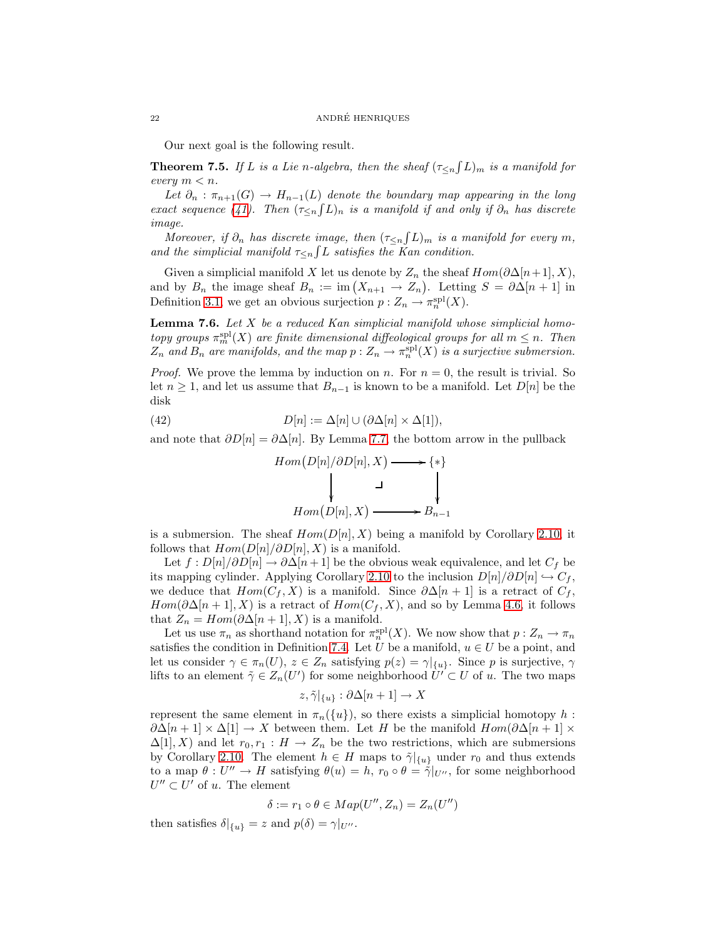<span id="page-21-0"></span>Our next goal is the following result.

**Theorem 7.5.** If L is a Lie n-algebra, then the sheaf  $(\tau_{\leq n} \int L)_{m}$  is a manifold for  $every \ m < n.$ 

Let  $\partial_n : \pi_{n+1}(G) \to H_{n-1}(L)$  *denote the boundary map appearing in the long exact sequence* [\(41\)](#page-19-0). Then  $(\tau_{\leq n} f_L)_n$  *is a manifold if and only if*  $\partial_n$  *has discrete image.*

*Moreover, if*  $\partial_n$  *has discrete image, then*  $(\tau_{\leq n} f_L)_m$  *is a manifold for every* m, and the simplicial manifold  $\tau \leq_n \int L$  satisfies the Kan condition.

Given a simplicial manifold X let us denote by  $Z_n$  the sheaf  $Hom(\partial \Delta[n+1], X)$ , and by  $B_n$  the image sheaf  $B_n := \text{im}(X_{n+1} \to Z_n)$ . Letting  $S = \partial \Delta[n+1]$  in Definition [3.1,](#page-7-2) we get an obvious surjection  $p: Z_n \to \pi^{\text{spl}}_n(X)$ .

<span id="page-21-2"></span>Lemma 7.6. *Let* X *be a reduced Kan simplicial manifold whose simplicial homotopy groups*  $\pi_m^{\text{spl}}(X)$  *are finite dimensional diffeological groups for all*  $m \leq n$ . Then  $Z_n$  and  $B_n$  are manifolds, and the map  $p: Z_n \to \pi^{\text{spl}}_n(X)$  is a surjective submersion.

*Proof.* We prove the lemma by induction on n. For  $n = 0$ , the result is trivial. So let  $n \geq 1$ , and let us assume that  $B_{n-1}$  is known to be a manifold. Let  $D[n]$  be the disk

(42) 
$$
D[n] := \Delta[n] \cup (\partial \Delta[n] \times \Delta[1]),
$$

and note that  $\partial D[n] = \partial \Delta[n]$ . By Lemma [7.7,](#page-22-0) the bottom arrow in the pullback

<span id="page-21-1"></span>
$$
Hom(D[n]/\partial D[n], X) \longrightarrow \{*\}
$$
  

$$
\downarrow \qquad \qquad \downarrow
$$
  

$$
Hom(D[n], X) \longrightarrow B_{n-1}
$$

is a submersion. The sheaf  $Hom(D[n], X)$  being a manifold by Corollary [2.10,](#page-6-2) it follows that  $Hom(D[n]/\partial D[n], X)$  is a manifold.

Let  $f : D[n]/\partial D[n] \to \partial \Delta[n+1]$  be the obvious weak equivalence, and let  $C_f$  be its mapping cylinder. Applying Corollary [2.10](#page-6-2) to the inclusion  $D[n]/\partial D[n] \hookrightarrow C_f$ , we deduce that  $Hom(C_f, X)$  is a manifold. Since  $\partial \Delta[n+1]$  is a retract of  $C_f$ ,  $Hom(\partial \Delta[n+1], X)$  is a retract of  $Hom(C_f, X)$ , and so by Lemma [4.6,](#page-11-0) it follows that  $Z_n = Hom(\partial \Delta[n+1], X)$  is a manifold.

Let us use  $\pi_n$  as shorthand notation for  $\pi_n^{\text{spl}}(X)$ . We now show that  $p: Z_n \to \pi_n$ satisfies the condition in Definition [7.4.](#page-20-1) Let U be a manifold,  $u \in U$  be a point, and let us consider  $\gamma \in \pi_n(U)$ ,  $z \in Z_n$  satisfying  $p(z) = \gamma|_{\{u\}}$ . Since p is surjective,  $\gamma$ lifts to an element  $\tilde{\gamma} \in Z_n(U')$  for some neighborhood  $\tilde{U}' \subset U$  of u. The two maps

$$
z,\tilde{\gamma}|_{\{u\}}:\partial\Delta[n+1]\to X
$$

represent the same element in  $\pi_n({u})$ , so there exists a simplicial homotopy h:  $\partial \Delta[n+1] \times \Delta[1] \rightarrow X$  between them. Let H be the manifold  $Hom(\partial \Delta[n+1] \times$  $\Delta[1], X$ ) and let  $r_0, r_1 : H \to Z_n$  be the two restrictions, which are submersions by Corollary [2.10.](#page-6-2) The element  $h \in H$  maps to  $\tilde{\gamma}|_{\{u\}}$  under  $r_0$  and thus extends to a map  $\theta: U'' \to H$  satisfying  $\theta(u) = h$ ,  $r_0 \circ \theta = \tilde{\gamma}|_{U''}$ , for some neighborhood  $U'' \subset U'$  of u. The element

$$
\delta := r_1 \circ \theta \in Map(U'', Z_n) = Z_n(U'')
$$

then satisfies  $\delta|_{\{u\}} = z$  and  $p(\delta) = \gamma|_{U''}$ .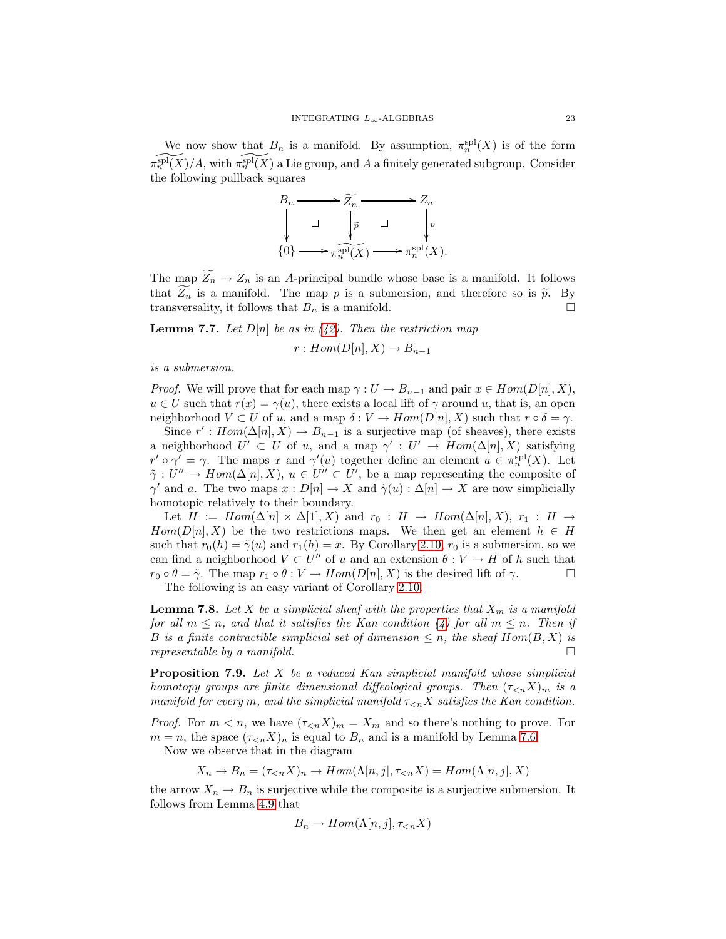We now show that  $B_n$  is a manifold. By assumption,  $\pi_n^{\text{spl}}(X)$  is of the form  $\widetilde{\pi^{\mathrm{spl}}_n(X)}/A$ , with  $\widetilde{\pi^{\mathrm{spl}}_n(X)}$  a Lie group, and A a finitely generated subgroup. Consider the following pullback squares



The map  $\widetilde{Z_n} \to Z_n$  is an A-principal bundle whose base is a manifold. It follows that  $\widetilde{Z_n}$  is a manifold. The map p is a submersion, and therefore so is  $\widetilde{p}$ . By transversality, it follows that  $B_n$  is a manifold. transversality, it follows that  $B_n$  is a manifold.

<span id="page-22-0"></span>Lemma 7.7. *Let* D[n] *be as in [\(42\)](#page-21-1). Then the restriction map*

$$
r: Hom(D[n], X) \to B_{n-1}
$$

*is a submersion.*

*Proof.* We will prove that for each map  $\gamma: U \to B_{n-1}$  and pair  $x \in Hom(D[n], X)$ ,  $u \in U$  such that  $r(x) = \gamma(u)$ , there exists a local lift of  $\gamma$  around u, that is, an open neighborhood  $V \subset U$  of u, and a map  $\delta : V \to Hom(D[n], X)$  such that  $r \circ \delta = \gamma$ .

Since  $r' : Hom(\Delta[n], X) \to B_{n-1}$  is a surjective map (of sheaves), there exists a neighborhood  $U' \subset U$  of u, and a map  $\gamma' : U' \to Hom(\Delta[n], X)$  satisfying  $r' \circ \gamma' = \gamma$ . The maps x and  $\gamma'(u)$  together define an element  $a \in \pi_n^{\text{spl}}(X)$ . Let  $\tilde{\gamma}: U'' \to Hom(\Delta[n], X), u \in U'' \subset U'$ , be a map representing the composite of  $\gamma'$  and a. The two maps  $x: D[n] \to X$  and  $\tilde{\gamma}(u): \Delta[n] \to X$  are now simplicially homotopic relatively to their boundary.

Let  $H := Hom(\Delta[n] \times \Delta[1], X)$  and  $r_0 : H \to Hom(\Delta[n], X), r_1 : H \to$  $Hom(D[n], X)$  be the two restrictions maps. We then get an element  $h \in H$ such that  $r_0(h) = \tilde{\gamma}(u)$  and  $r_1(h) = x$ . By Corollary [2.10,](#page-6-2)  $r_0$  is a submersion, so we can find a neighborhood  $V \subset U''$  of u and an extension  $\theta : V \to H$  of h such that  $r_0 \circ \theta = \tilde{\gamma}$ . The map  $r_1 \circ \theta : V \to Hom(D[n], X)$  is the desired lift of  $\gamma$ .

<span id="page-22-1"></span>The following is an easy variant of Corollary [2.10.](#page-6-2)

**Lemma 7.8.** Let X be a simplicial sheaf with the properties that  $X_m$  is a manifold *for all*  $m \leq n$ , and that it satisfies the Kan condition [\(4\)](#page-2-0) for all  $m \leq n$ . Then if B *is a finite contractible simplicial set of dimension*  $\leq n$ , the sheaf  $Hom(B, X)$  *is representable by a manifold.*

<span id="page-22-2"></span>Proposition 7.9. *Let* X *be a reduced Kan simplicial manifold whose simplicial homotopy groups are finite dimensional diffeological groups. Then*  $(\tau_{\leq n}X)_m$  *is a manifold for every* m, and the simplicial manifold  $\tau_{\leq n}X$  satisfies the Kan condition.

*Proof.* For  $m < n$ , we have  $(\tau_{\leq n}X)_m = X_m$  and so there's nothing to prove. For  $m = n$ , the space  $(\tau_{\leq n} X)_n$  is equal to  $B_n$  and is a manifold by Lemma [7.6.](#page-21-2)

Now we observe that in the diagram

$$
X_n \to B_n = (\tau_{\le n} X)_n \to Hom(\Lambda[n, j], \tau_{\le n} X) = Hom(\Lambda[n, j], X)
$$

the arrow  $X_n \to B_n$  is surjective while the composite is a surjective submersion. It follows from Lemma [4.9](#page-11-1) that

$$
B_n \to Hom(\Lambda[n,j], \tau_{\lt n} X)
$$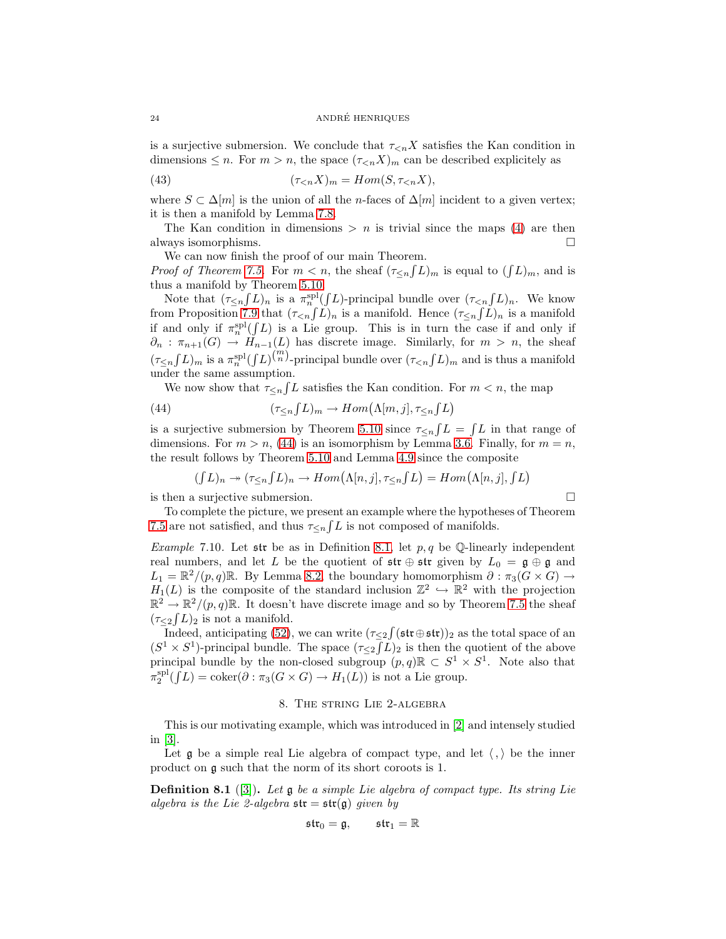#### 24 ANDRE HENRIQUES ´

is a surjective submersion. We conclude that  $\tau_{\leq n}X$  satisfies the Kan condition in dimensions  $\leq n$ . For  $m > n$ , the space  $(\tau_{\leq n} X)_m$  can be described explicitely as

(43) 
$$
(\tau_{\leq n}X)_m = Hom(S, \tau_{\leq n}X),
$$

where  $S \subset \Delta[m]$  is the union of all the *n*-faces of  $\Delta[m]$  incident to a given vertex; it is then a manifold by Lemma [7.8.](#page-22-1)

The Kan condition in dimensions  $\geq n$  is trivial since the maps [\(4\)](#page-2-0) are then always isomorphisms.

We can now finish the proof of our main Theorem.

*Proof of Theorem [7.5.](#page-21-0)* For  $m < n$ , the sheaf  $(\tau_{\leq n} f L)_m$  is equal to  $(f L)_m$ , and is thus a manifold by Theorem [5.10.](#page-15-0)

Note that  $(\tau_{\leq n} (L)_n$  is a  $\pi_n^{\text{spl}}(L)$ -principal bundle over  $(\tau_{\leq n} (L)_n$ . We know from Proposition [7.9](#page-22-2) that  $(\tau_{\leq n}(\tilde{L})_n)$  is a manifold. Hence  $(\tau_{\leq n}(\tilde{L})_n)$  is a manifold if and only if  $\pi_n^{\text{spl}}(fL)$  is a Lie group. This is in turn the case if and only if  $\partial_n : \pi_{n+1}(G) \to H_{n-1}(L)$  has discrete image. Similarly, for  $m > n$ , the sheaf  $(\tau_{\leq n} (L)_m$  is a  $\pi_n^{\text{spl}}(f L)^{(m)}$ -principal bundle over  $(\tau_{\leq n} (L)_m$  and is thus a manifold under the same assumption.

We now show that  $\tau \leq n \int L$  satisfies the Kan condition. For  $m < n$ , the map

(44) 
$$
(\tau_{\leq n} \int L)_{m} \to Hom(\Lambda[m, j], \tau_{\leq n} \int L)
$$

is a surjective submersion by Theorem [5.10](#page-15-0) since  $\tau_{\leq n} \int L = \int L$  in that range of dimensions. For  $m > n$ , [\(44\)](#page-23-1) is an isomorphism by Lemma [3.6.](#page-9-0) Finally, for  $m = n$ , the result follows by Theorem [5.10](#page-15-0) and Lemma [4.9](#page-11-1) since the composite

<span id="page-23-1"></span>
$$
(\int L)_n \twoheadrightarrow (\tau_{\leq n} \int L)_n \rightarrow Hom(\Lambda[n,j], \tau_{\leq n} \int L) = Hom(\Lambda[n,j], \int L)
$$

is then a surjective submersion.

<span id="page-23-0"></span>To complete the picture, we present an example where the hypotheses of Theorem [7.5](#page-21-0) are not satisfied, and thus  $\tau_{\leq n} \int L$  is not composed of manifolds.

*Example* 7.10*.* Let str be as in Definition [8.1,](#page-23-2) let p, q be Q-linearly independent real numbers, and let L be the quotient of  $\mathfrak{str} \oplus \mathfrak{str}$  given by  $L_0 = \mathfrak{g} \oplus \mathfrak{g}$  and  $L_1 = \mathbb{R}^2/(p, q)\mathbb{R}$ . By Lemma [8.2,](#page-24-0) the boundary homomorphism  $\partial : \pi_3(G \times G) \to$  $H_1(L)$  is the composite of the standard inclusion  $\mathbb{Z}^2 \hookrightarrow \mathbb{R}^2$  with the projection  $\mathbb{R}^2 \to \mathbb{R}^2/(p,q)\mathbb{R}$ . It doesn't have discrete image and so by Theorem [7.5](#page-21-0) the sheaf  $(\tau_{\leq 2} f L)_2$  is not a manifold.

Indeed, anticipating [\(52\)](#page-26-0), we can write  $(\tau_{\leq 2} f(\mathfrak{str} \oplus \mathfrak{str}))_2$  as the total space of an  $(S^1 \times S^1)$ -principal bundle. The space  $(\tau \leq 1)$  is then the quotient of the above principal bundle by the non-closed subgroup  $(p, q)\mathbb{R} \subset S^1 \times S^1$ . Note also that  $\pi_2^{\text{spl}}(fL) = \text{coker}(\partial : \pi_3(G \times G) \to H_1(L))$  is not a Lie group.

# 8. The string Lie 2-algebra

This is our motivating example, which was introduced in [\[2\]](#page-30-1) and intensely studied in [\[3\]](#page-30-3).

<span id="page-23-2"></span>Let  $\mathfrak g$  be a simple real Lie algebra of compact type, and let  $\langle , \rangle$  be the inner product on g such that the norm of its short coroots is 1.

Definition 8.1 ([\[3\]](#page-30-3)). *Let* g *be a simple Lie algebra of compact type. Its string Lie algebra is the Lie 2-algebra*  $\mathfrak{str} = \mathfrak{str}(\mathfrak{g})$  *given by* 

$$
\mathfrak{str}_0=\mathfrak{g},\qquad\mathfrak{str}_1=\mathbb{R}
$$

$$
\Box
$$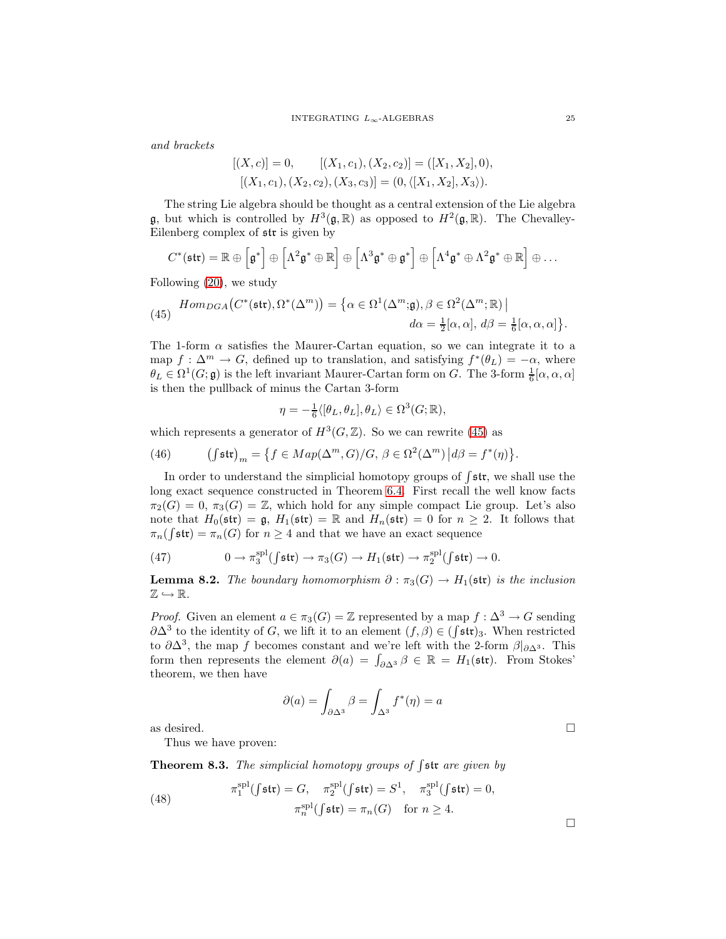*and brackets*

$$
[(X, c)] = 0, \qquad [(X_1, c_1), (X_2, c_2)] = ([X_1, X_2], 0), [(X_1, c_1), (X_2, c_2), (X_3, c_3)] = (0, \langle [X_1, X_2], X_3 \rangle).
$$

The string Lie algebra should be thought as a central extension of the Lie algebra **g**, but which is controlled by  $H^3(\mathfrak{g}, \mathbb{R})$  as opposed to  $H^2(\mathfrak{g}, \mathbb{R})$ . The Chevalley-Eilenberg complex of str is given by

$$
C^*(\mathfrak{str}) = \mathbb{R} \oplus \left[\mathfrak{g}^*\right] \oplus \left[\Lambda^2 \mathfrak{g}^* \oplus \mathbb{R}\right] \oplus \left[\Lambda^3 \mathfrak{g}^* \oplus \mathfrak{g}^*\right] \oplus \left[\Lambda^4 \mathfrak{g}^* \oplus \Lambda^2 \mathfrak{g}^* \oplus \mathbb{R}\right] \oplus \dots
$$

Following [\(20\)](#page-12-4), we study

<span id="page-24-1"></span>(45) 
$$
Hom_{DGA}(C^*(\mathfrak{str}), \Omega^*(\Delta^m)) = \{ \alpha \in \Omega^1(\Delta^m; \mathfrak{g}), \beta \in \Omega^2(\Delta^m; \mathbb{R}) \mid d\alpha = \frac{1}{2} [\alpha, \alpha], d\beta = \frac{1}{6} [\alpha, \alpha, \alpha] \}.
$$

The 1-form  $\alpha$  satisfies the Maurer-Cartan equation, so we can integrate it to a map  $f: \Delta^m \to G$ , defined up to translation, and satisfying  $f^*(\theta_L) = -\alpha$ , where  $\theta_L \in \Omega^1(G; \mathfrak{g})$  is the left invariant Maurer-Cartan form on G. The 3-form  $\frac{1}{6}[\alpha, \alpha, \alpha]$ is then the pullback of minus the Cartan 3-form

$$
\eta = -\frac{1}{6} \langle [\theta_L, \theta_L], \theta_L \rangle \in \Omega^3(G; \mathbb{R}),
$$

which represents a generator of  $H^3(G, \mathbb{Z})$ . So we can rewrite [\(45\)](#page-24-1) as

<span id="page-24-3"></span>(46) 
$$
\left(\int \mathfrak{str}\right)_m = \left\{f \in Map(\Delta^m, G)/G, \, \beta \in \Omega^2(\Delta^m) \, \middle| \, d\beta = f^*(\eta)\right\}.
$$

In order to understand the simplicial homotopy groups of  $\int$  str, we shall use the long exact sequence constructed in Theorem [6.4.](#page-18-0) First recall the well know facts  $\pi_2(G) = 0$ ,  $\pi_3(G) = \mathbb{Z}$ , which hold for any simple compact Lie group. Let's also note that  $H_0(\text{str}) = \mathfrak{g}, H_1(\text{str}) = \mathbb{R}$  and  $H_n(\text{str}) = 0$  for  $n \geq 2$ . It follows that  $\pi_n(\int \mathfrak{str}) = \pi_n(G)$  for  $n \geq 4$  and that we have an exact sequence

<span id="page-24-0"></span>(47) 
$$
0 \to \pi_3^{\text{spl}}(\int \mathfrak{str}) \to \pi_3(G) \to H_1(\mathfrak{str}) \to \pi_2^{\text{spl}}(\int \mathfrak{str}) \to 0.
$$

**Lemma 8.2.** *The boundary homomorphism*  $\partial : \pi_3(G) \to H_1(\text{str})$  *is the inclusion*  $\mathbb{Z} \hookrightarrow \mathbb{R}$ .

*Proof.* Given an element  $a \in \pi_3(G) = \mathbb{Z}$  represented by a map  $f : \Delta^3 \to G$  sending  $\partial \Delta^3$  to the identity of G, we lift it to an element  $(f, \beta) \in (\int \mathfrak{str})_3$ . When restricted to  $\partial \Delta^3$ , the map f becomes constant and we're left with the 2-form  $\beta|_{\partial \Delta^3}$ . This form then represents the element  $\partial(a) = \int_{\partial \Delta^3} \beta \in \mathbb{R} = H_1(\text{str})$ . From Stokes' theorem, we then have

$$
\partial(a) = \int_{\partial \Delta^3} \beta = \int_{\Delta^3} f^*(\eta) = a
$$

as desired.  $\Box$ 

Thus we have proven:

**Theorem 8.3.** The simplicial homotopy groups of  $\int$  str are given by

<span id="page-24-2"></span>(48) 
$$
\pi_1^{\text{spl}}(f\text{str}) = G, \quad \pi_2^{\text{spl}}(f\text{str}) = S^1, \quad \pi_3^{\text{spl}}(f\text{str}) = 0,
$$

$$
\pi_n^{\text{spl}}(f\text{str}) = \pi_n(G) \quad \text{for } n \ge 4.
$$

 $\Box$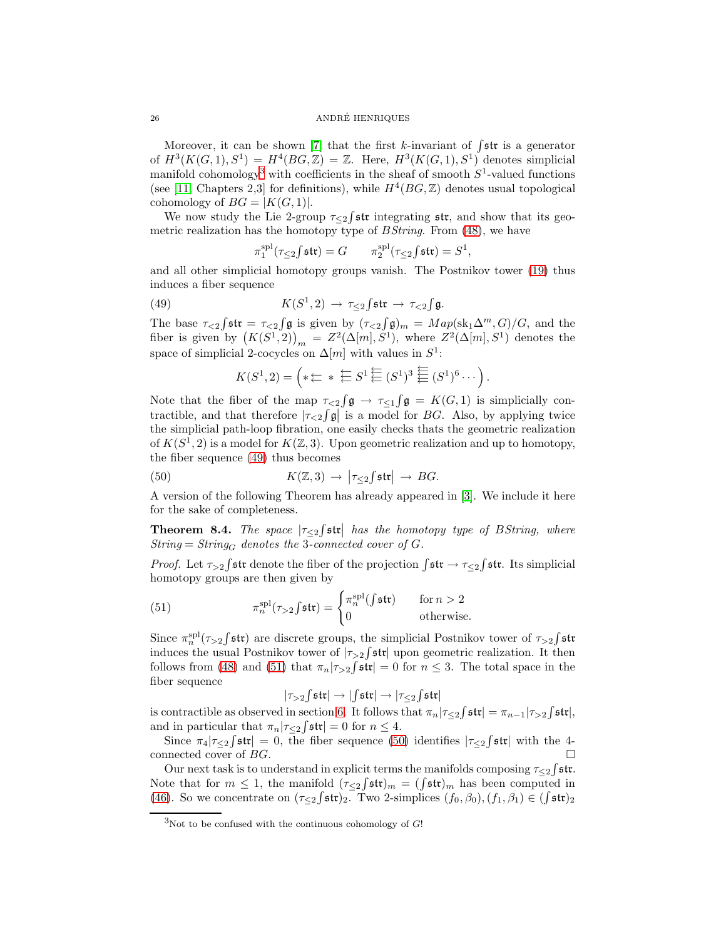Moreover, it can be shown [\[7\]](#page-30-2) that the first k-invariant of  $\int$  str is a generator of  $H^3(K(G,1), S^1) = H^4(BG, \mathbb{Z}) = \mathbb{Z}$ . Here,  $H^3(K(G,1), S^1)$  denotes simplicial manifold cohomology<sup>[3](#page-25-0)</sup> with coefficients in the sheaf of smooth  $S^1$ -valued functions (see [\[11,](#page-30-22) Chapters 2,3] for definitions), while  $H^4(BG, \mathbb{Z})$  denotes usual topological cohomology of  $BG = |K(G, 1)|$ .

We now study the Lie 2-group  $\tau_{\leq 2}$  fit integrating str, and show that its geometric realization has the homotopy type of B*String*. From [\(48\)](#page-24-2), we have

<span id="page-25-1"></span>
$$
\pi_1^{\rm spl}(\tau_{\leq 2}\mathbf{\int}\mathfrak{str}) = G \qquad \pi_2^{\rm spl}(\tau_{\leq 2}\mathbf{\int}\mathfrak{str}) = S^1,
$$

and all other simplicial homotopy groups vanish. The Postnikov tower [\(19\)](#page-9-2) thus induces a fiber sequence

(49) 
$$
K(S^1,2) \rightarrow \tau_{\leq 2} \int \mathfrak{str} \to \tau_{\leq 2} \int \mathfrak{g}.
$$

The base  $\tau_{\leq 2} \int \text{str} = \tau_{\leq 2} \int \text{g}$  is given by  $(\tau_{\leq 2} \int \text{g})_m = Map(\text{sk}_1 \Delta^m, G)/G$ , and the fiber is given by  $(K(S^1, 2))_m = Z^2(\Delta[m], S^1)$ , where  $Z^2(\Delta[m], S^1)$  denotes the space of simplicial 2-cocycles on  $\Delta[m]$  with values in  $S^1$ :

<span id="page-25-3"></span>
$$
K(S^1,2) = \left(\ast \leftarrow \ast \stackrel{\leftarrow}{\leftarrow} S^1 \stackrel{\leftarrow}{\leftarrow} (S^1)^3 \stackrel{\leftarrow}{\leftarrow} (S^1)^6 \cdots \right).
$$

Note that the fiber of the map  $\tau_{\leq 2} f \mathfrak{g} \to \tau_{\leq 1} f \mathfrak{g} = K(G, 1)$  is simplicially contractible, and that therefore  $|\tau_{\leq 2} \int \mathfrak{g}|$  is a model for *BG*. Also, by applying twice the simplicial path-loop fibration, one easily checks thats the geometric realization of  $K(S^1, 2)$  is a model for  $K(\mathbb{Z}, 3)$ . Upon geometric realization and up to homotopy, the fiber sequence [\(49\)](#page-25-1) thus becomes

(50) 
$$
K(\mathbb{Z},3) \to |\tau_{\leq 2} \text{fstr}| \to BG.
$$

A version of the following Theorem has already appeared in [\[3\]](#page-30-3). We include it here for the sake of completeness.

**Theorem 8.4.** *The space*  $|\tau_{\leq 2} f \text{str}|$  *has the homotopy type of BString, where*  $String = String_G$  *denotes the* 3*-connected cover of G*.

*Proof.* Let  $\tau_{>2}$  fstr denote the fiber of the projection  $\int \text{str} \to \tau_{\leq 2} \int \text{str}$ . Its simplicial homotopy groups are then given by

(51) 
$$
\pi_n^{\text{spl}}(\tau_{>2} f \text{str}) = \begin{cases} \pi_n^{\text{spl}}(f \text{str}) & \text{for } n > 2\\ 0 & \text{otherwise.} \end{cases}
$$

Since  $\pi_n^{\text{spl}}(\tau_{>2}^f\text{str})$  are discrete groups, the simplicial Postnikov tower of  $\tau_{>2}^f\text{str}$ induces the usual Postnikov tower of  $|\tau_{>2} f \text{str}|$  upon geometric realization. It then follows from [\(48\)](#page-24-2) and [\(51\)](#page-25-2) that  $\pi_n|\tau_{>2} \int \operatorname{str}| = 0$  for  $n \leq 3$ . The total space in the fiber sequence

<span id="page-25-2"></span>
$$
|\tau_{>2}\text{\textit{f}}\mathfrak{str}|\to |\text{\textit{f}}\mathfrak{str}|\to |\tau_{\leq 2}\text{\textit{f}}\mathfrak{str}|
$$

is contractible as observed in section [6.](#page-17-0) It follows that  $\pi_n|\tau_{\leq 2} \int \text{str}| = \pi_{n-1}|\tau_{>2} \int \text{str}|,$ and in particular that  $\pi_n|\tau_{\leq 2} \int \mathfrak{str}| = 0$  for  $n \leq 4$ .

Since  $\pi_4|\tau_{\leq2}$  str| = 0, the fiber sequence [\(50\)](#page-25-3) identifies  $|\tau_{\leq2}$  str| with the 4connected cover of BG.

Our next task is to understand in explicit terms the manifolds composing  $\tau_{\leq 2}$  fost. Note that for  $m \leq 1$ , the manifold  $(\tau_{\leq 2} f \operatorname{str})_m = (f \operatorname{str})_m$  has been computed in [\(46\)](#page-24-3). So we concentrate on  $(\tau_{\leq 2} f \mathfrak{str})_2$ . Two 2-simplices  $(f_0, \beta_0), (f_1, \beta_1) \in (\int \mathfrak{str})_2$ 

<span id="page-25-0"></span> $3$ Not to be confused with the continuous cohomology of  $G!$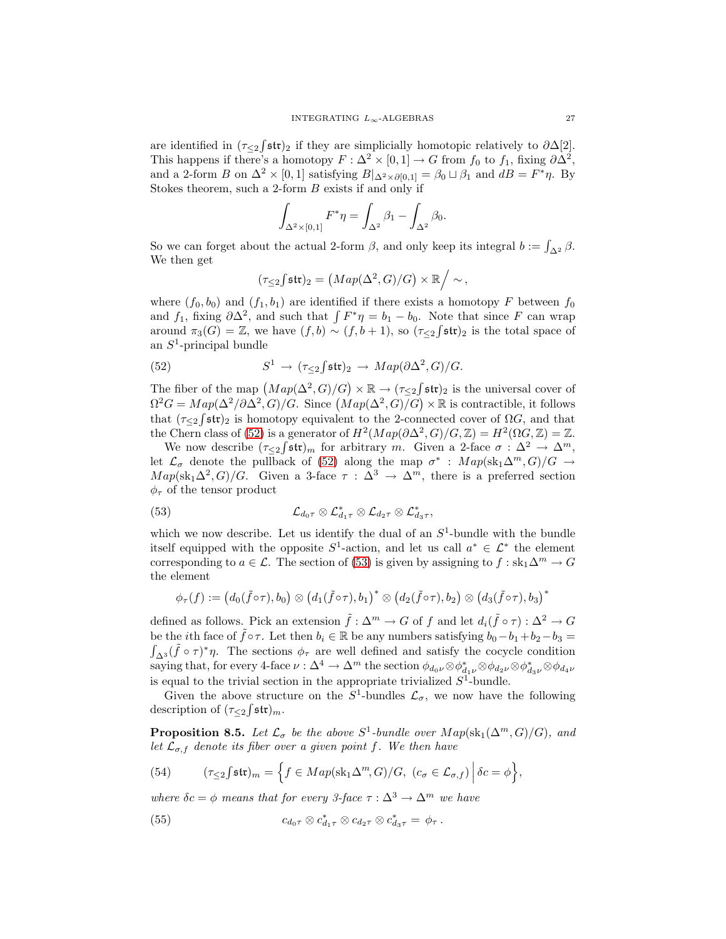are identified in  $(\tau_{\leq 2} f \mathfrak{str})_2$  if they are simplicially homotopic relatively to  $\partial \Delta[2]$ . This happens if there's a homotopy  $F: \Delta^2 \times [0,1] \to G$  from  $f_0$  to  $f_1$ , fixing  $\partial \Delta^2$ , and a 2-form B on  $\Delta^2 \times [0,1]$  satisfying  $B|_{\Delta^2 \times \partial [0,1]} = \beta_0 \sqcup \beta_1$  and  $dB = F^* \eta$ . By Stokes theorem, such a 2-form  $B$  exists if and only if

$$
\int_{\Delta^2 \times [0,1]} F^* \eta = \int_{\Delta^2} \beta_1 - \int_{\Delta^2} \beta_0.
$$

So we can forget about the actual 2-form  $\beta$ , and only keep its integral  $b := \int_{\Delta^2} \beta$ . We then get

<span id="page-26-0"></span>
$$
(\tau _{\leq 2}\mathsf{fstr})_{2}=\left( Map(\Delta ^{2},G)/G\right) \times \mathbb{R}\Big/\sim ,
$$

where  $(f_0, b_0)$  and  $(f_1, b_1)$  are identified if there exists a homotopy F between  $f_0$ and  $f_1$ , fixing  $\partial \Delta^2$ , and such that  $\int F^*\eta = b_1 - b_0$ . Note that since F can wrap around  $\pi_3(G) = \mathbb{Z}$ , we have  $(f, b) \sim (f, b + 1)$ , so  $(\tau_{\leq 2} f \text{str})_2$  is the total space of an  $S^1$ -principal bundle

(52) 
$$
S^1 \to (\tau_{\leq 2} \int \mathfrak{str})_2 \to Map(\partial \Delta^2, G)/G.
$$

The fiber of the map  $(Map(\Delta^2, G)/G) \times \mathbb{R} \to (\tau_{\leq 2} \int \text{str})_2$  is the universal cover of  $\Omega^2 G = Map(\Delta^2/\partial \Delta^2, G)/G$ . Since  $\left(\widehat{Map}(\Delta^2, G)/G\right) \times \mathbb{R}$  is contractible, it follows that  $(\tau_{\leq 2} f \mathfrak{str})_2$  is homotopy equivalent to the 2-connected cover of  $\Omega G$ , and that the Chern class of [\(52\)](#page-26-0) is a generator of  $H^2(Map(\partial \Delta^2, G)/G, \mathbb{Z}) = H^2(\Omega G, \mathbb{Z}) = \mathbb{Z}$ .

We now describe  $(\tau_{\leq 2} f \mathfrak{str})_m$  for arbitrary m. Given a 2-face  $\sigma : \Delta^2 \to \Delta^m$ , let  $\mathcal{L}_{\sigma}$  denote the pullback of [\(52\)](#page-26-0) along the map  $\sigma^*$ :  $Map(\text{sk}_1\Delta^m, G)/G \rightarrow$  $Map(\text{sk}_1\Delta^2, G)/G$ . Given a 3-face  $\tau : \Delta^3 \to \Delta^m$ , there is a preferred section  $\phi_{\tau}$  of the tensor product

<span id="page-26-1"></span>(53) 
$$
\mathcal{L}_{d_0\tau} \otimes \mathcal{L}_{d_1\tau}^* \otimes \mathcal{L}_{d_2\tau} \otimes \mathcal{L}_{d_3\tau}^*,
$$

which we now describe. Let us identify the dual of an  $S<sup>1</sup>$ -bundle with the bundle itself equipped with the opposite  $S^1$ -action, and let us call  $a^* \in \mathcal{L}^*$  the element corresponding to  $a \in \mathcal{L}$ . The section of [\(53\)](#page-26-1) is given by assigning to  $f : sk_1 \Delta^m \to G$ the element

$$
\phi_{\tau}(f):=\big(d_0(\tilde{f}\circ \tau),b_0\big)\otimes \big(d_1(\tilde{f}\circ \tau),b_1\big)^*\otimes \big(d_2(\tilde{f}\circ \tau),b_2\big)\otimes \big(d_3(\tilde{f}\circ \tau),b_3\big)^*
$$

defined as follows. Pick an extension  $\tilde{f}: \Delta^m \to G$  of f and let  $d_i(\tilde{f} \circ \tau) : \Delta^2 \to G$ be the *i*th face of  $\tilde{f} \circ \tau$ . Let then  $b_i \in \mathbb{R}$  be any numbers satisfying  $b_0-b_1+b_2-b_3 =$  $\hat{f}_{\Delta^3}(\tilde{f} \circ \tau)^*\eta$ . The sections  $\phi_{\tau}$  are well defined and satisfy the cocycle condition saying that, for every 4-face  $\nu : \Delta^4 \to \Delta^m$  the section  $\phi_{d_0\nu} \otimes \phi_{d_1\nu}^* \otimes \phi_{d_2\nu} \otimes \phi_{d_3\nu}^* \otimes \phi_{d_4\nu}$ is equal to the trivial section in the appropriate trivialized  $S^1$ -bundle.

Given the above structure on the  $S^1$ -bundles  $\mathcal{L}_{\sigma}$ , we now have the following description of  $(\tau_{\leq 2} f \mathfrak{str})_m$ .

**Proposition 8.5.** Let  $\mathcal{L}_{\sigma}$  be the above  $S^1$ -bundle over  $Map(\text{sk}_1(\Delta^m, G)/G)$ *, and* let  $\mathcal{L}_{\sigma,f}$  denote its fiber over a given point f. We then have

<span id="page-26-2"></span>(54) 
$$
(\tau_{\leq 2} \int \operatorname{str})_m = \left\{ f \in Map(\operatorname{sk}_1 \Delta^m, G) / G, \ (c_{\sigma} \in \mathcal{L}_{\sigma, f}) \middle| \delta c = \phi \right\},
$$

*where*  $\delta c = \phi$  *means that for every 3-face*  $\tau : \Delta^3 \to \Delta^m$  *we have* 

<span id="page-26-3"></span>(55) 
$$
c_{d_0\tau} \otimes c_{d_1\tau}^* \otimes c_{d_2\tau} \otimes c_{d_3\tau}^* = \phi_\tau.
$$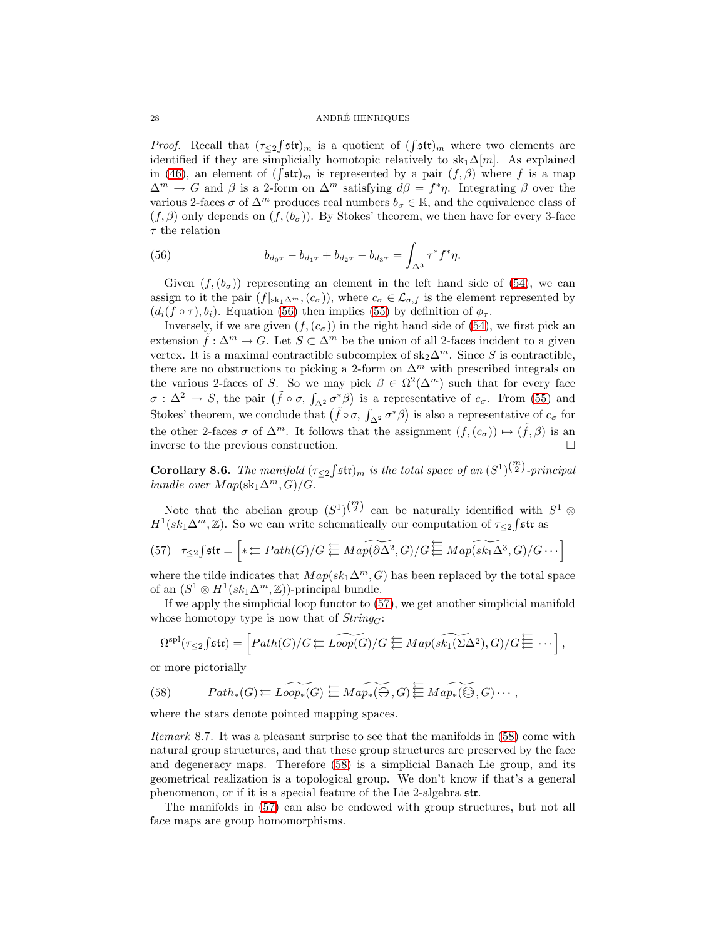### 28 ANDRE HENRIQUES ´

*Proof.* Recall that  $(\tau_{\leq 2} f \text{str})_m$  is a quotient of  $(f \text{str})_m$  where two elements are identified if they are simplicially homotopic relatively to  $sk_1\Delta[m]$ . As explained in [\(46\)](#page-24-3), an element of  $(\int \mathfrak{str})_m$  is represented by a pair  $(f, \beta)$  where f is a map  $\Delta^m \to G$  and  $\beta$  is a 2-form on  $\Delta^m$  satisfying  $d\beta = f^*\eta$ . Integrating  $\beta$  over the various 2-faces  $\sigma$  of  $\Delta^m$  produces real numbers  $b_{\sigma} \in \mathbb{R}$ , and the equivalence class of  $(f, \beta)$  only depends on  $(f, (b_{\sigma}))$ . By Stokes' theorem, we then have for every 3-face  $\tau$  the relation

<span id="page-27-1"></span>(56) 
$$
b_{d_0\tau} - b_{d_1\tau} + b_{d_2\tau} - b_{d_3\tau} = \int_{\Delta^3} \tau^* f^* \eta.
$$

Given  $(f, (b_{\sigma}))$  representing an element in the left hand side of [\(54\)](#page-26-2), we can assign to it the pair  $(f|_{sk_1\Delta^m},(c_{\sigma}))$ , where  $c_{\sigma}\in\mathcal{L}_{\sigma,f}$  is the element represented by  $(d_i(f \circ \tau), b_i)$ . Equation [\(56\)](#page-27-1) then implies [\(55\)](#page-26-3) by definition of  $\phi_{\tau}$ .

Inversely, if we are given  $(f, (c_{\sigma}))$  in the right hand side of [\(54\)](#page-26-2), we first pick an extension  $\hat{f} : \Delta^m \to G$ . Let  $S \subset \Delta^m$  be the union of all 2-faces incident to a given vertex. It is a maximal contractible subcomplex of  $sk_2\Delta^m$ . Since S is contractible, there are no obstructions to picking a 2-form on  $\Delta^m$  with prescribed integrals on the various 2-faces of S. So we may pick  $\beta \in \Omega^2(\Delta^m)$  such that for every face  $\sigma : \Delta^2 \to S$ , the pair  $(\tilde{f} \circ \sigma, \int_{\Delta^2} \sigma^* \beta)$  is a representative of  $c_{\sigma}$ . From [\(55\)](#page-26-3) and Stokes' theorem, we conclude that  $(\tilde{f} \circ \sigma, \int_{\Delta^2} \sigma^* \beta)$  is also a representative of  $c_{\sigma}$  for the other 2-faces  $\sigma$  of  $\Delta^m$ . It follows that the assignment  $(f, (c_{\sigma})) \mapsto (\tilde{f}, \beta)$  is an inverse to the previous construction.

**Corollary 8.6.** The manifold  $(\tau_{\leq 2} \int \text{str})_m$  is the total space of an  $(S^1)^{\binom{m}{2}}$ -principal *bundle over*  $Map(\text{sk}_1\Delta^m, G)/G$ .

Note that the abelian group  $(S^1)^{\binom{m}{2}}$  can be naturally identified with  $S^1$   $\otimes$  $H^1(s k_1 \Delta^m, \mathbb{Z})$ . So we can write schematically our computation of  $\tau_{\leq 2}$  fotons

<span id="page-27-0"></span>(57) 
$$
\tau_{\leq 2} \int \mathfrak{str} = \left[ * \sum \mathit{Path}(G) / G \sum \widehat{Map(\partial \Delta^2, G) / G} \sum \widehat{Map(sk_1 \Delta^3, G) / G} \cdots \right]
$$

where the tilde indicates that  $Map(s_{k_1}\Delta^m, G)$  has been replaced by the total space of an  $(S^1 \otimes H^1(s k_1 \Delta^m, \mathbb{Z}))$ -principal bundle.

If we apply the simplicial loop functor to [\(57\)](#page-27-0), we get another simplicial manifold whose homotopy type is now that of  $String_G$ :

$$
\Omega^{\text{spl}}(\tau_{\leq 2} f \text{str}) = \left[ \frac{\text{Path}(G)}{G} \right] \left( \sum_{i=1}^{\infty} \widetilde{\text{loop}(G)} / G \right) \left( \sum_{i=1}^{\infty} \widetilde{\text{Map}(sk_1(\Sigma \Delta^2), G)} / G \right) = \cdots \right],
$$

or more pictorially

<span id="page-27-2"></span>(58) 
$$
Path_*(G) \simeq \widetilde{Loop_*(G)} \simeq \widetilde{Map_*(\ominus, G)} \simeq \widetilde{Map_*(\ominus, G)} \cdots,
$$

where the stars denote pointed mapping spaces.

*Remark* 8.7*.* It was a pleasant surprise to see that the manifolds in [\(58\)](#page-27-2) come with natural group structures, and that these group structures are preserved by the face and degeneracy maps. Therefore [\(58\)](#page-27-2) is a simplicial Banach Lie group, and its geometrical realization is a topological group. We don't know if that's a general phenomenon, or if it is a special feature of the Lie 2-algebra str.

The manifolds in [\(57\)](#page-27-0) can also be endowed with group structures, but not all face maps are group homomorphisms.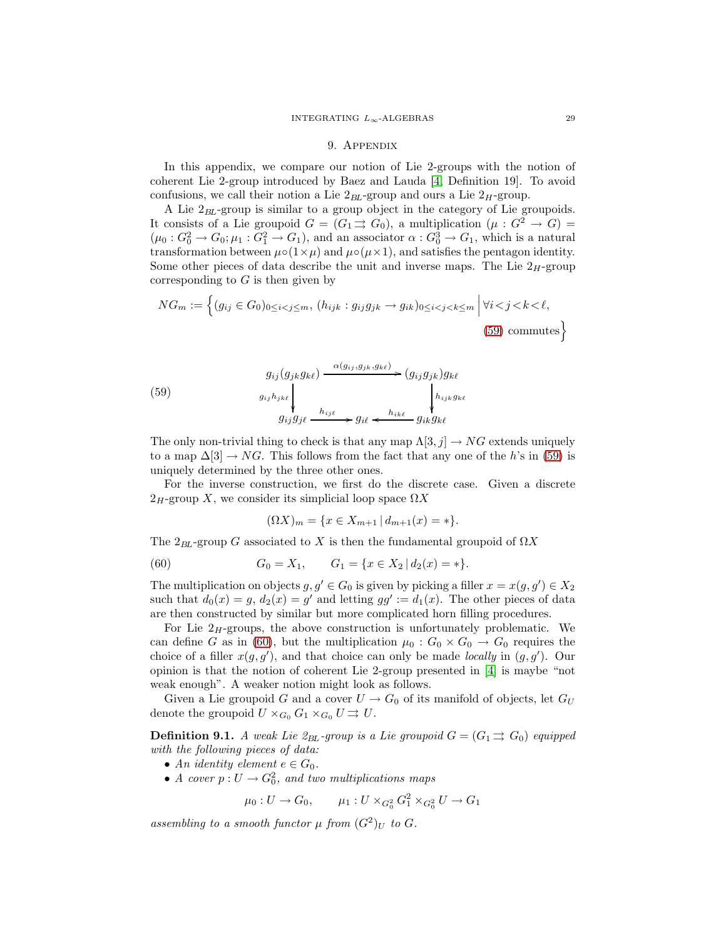### 9. APPENDIX

In this appendix, we compare our notion of Lie 2-groups with the notion of coherent Lie 2-group introduced by Baez and Lauda [\[4,](#page-30-4) Definition 19]. To avoid confusions, we call their notion a Lie  $2_{BL}$ -group and ours a Lie  $2_H$ -group.

A Lie  $2_{BL}$ -group is similar to a group object in the category of Lie groupoids. It consists of a Lie groupoid  $G = (G_1 \rightrightarrows G_0)$ , a multiplication  $(\mu : G^2 \to G)$  $(\mu_0: G_0^2 \to G_0; \mu_1: G_1^2 \to G_1)$ , and an associator  $\alpha: G_0^3 \to G_1$ , which is a natural transformation between  $\mu \circ (1 \times \mu)$  and  $\mu \circ (\mu \times 1)$ , and satisfies the pentagon identity. Some other pieces of data describe the unit and inverse maps. The Lie  $2<sub>H</sub>$ -group corresponding to  $G$  is then given by

$$
NG_m := \left\{ (g_{ij} \in G_0)_{0 \le i < j \le m}, (h_{ijk} : g_{ij} g_{jk} \to g_{ik})_{0 \le i < j < k \le m} \middle| \forall i < j < k < \ell, \tag{59} \right\}
$$

<span id="page-28-0"></span>(59)  

$$
\begin{array}{ccc}\ng_{ij}(g_{jk}g_{k\ell}) & \xrightarrow{\alpha(g_{ij},g_{jk},g_{k\ell})} (g_{ij}g_{jk})g_{k\ell} \\
g_{ij}h_{jk\ell} & \downarrow \qquad \qquad \downarrow \\
g_{ij}g_{j\ell} & \xrightarrow{h_{ij\ell}} g_{i\ell} & \xrightarrow{h_{ik\ell}} g_{ik}g_{k\ell}\n\end{array}
$$

The only non-trivial thing to check is that any map  $\Lambda[3, j] \to NG$  extends uniquely to a map  $\Delta[3] \to NG$ . This follows from the fact that any one of the h's in [\(59\)](#page-28-0) is uniquely determined by the three other ones.

For the inverse construction, we first do the discrete case. Given a discrete  $2<sub>H</sub>$ -group X, we consider its simplicial loop space  $\Omega X$ 

<span id="page-28-1"></span>
$$
(\Omega X)_m = \{ x \in X_{m+1} \, | \, d_{m+1}(x) = * \}.
$$

The  $2_{BL}$ -group G associated to X is then the fundamental groupoid of  $\Omega X$ 

(60) 
$$
G_0 = X_1, \qquad G_1 = \{x \in X_2 \, | \, d_2(x) = *\}.
$$

The multiplication on objects  $g, g' \in G_0$  is given by picking a filler  $x = x(g, g') \in X_2$ such that  $d_0(x) = g$ ,  $d_2(x) = g'$  and letting  $gg' := d_1(x)$ . The other pieces of data are then constructed by similar but more complicated horn filling procedures.

For Lie  $2<sub>H</sub>$ -groups, the above construction is unfortunately problematic. We can define G as in [\(60\)](#page-28-1), but the multiplication  $\mu_0$  :  $G_0 \times G_0 \to G_0$  requires the choice of a filler  $x(g, g')$ , and that choice can only be made *locally* in  $(g, g')$ . Our opinion is that the notion of coherent Lie 2-group presented in [\[4\]](#page-30-4) is maybe "not weak enough". A weaker notion might look as follows.

<span id="page-28-2"></span>Given a Lie groupoid G and a cover  $U \to G_0$  of its manifold of objects, let  $G_U$ denote the groupoid  $U \times_{G_0} G_1 \times_{G_0} U \rightrightarrows U$ .

**Definition 9.1.** *A weak Lie 2<sub>BL</sub>-group is a Lie groupoid*  $G = (G_1 \rightrightarrows G_0)$  *equipped with the following pieces of data:*

- *An identity element*  $e \in G_0$ *.*
- *A cover*  $p: U \to G_0^2$ , and two multiplications maps

 $\mu_0: U \to G_0, \qquad \mu_1: U \times_{G_0^2} G_1^2 \times_{G_0^2} U \to G_1$ 

assembling to a smooth functor  $\mu$  from  $(G^2)_U$  to G.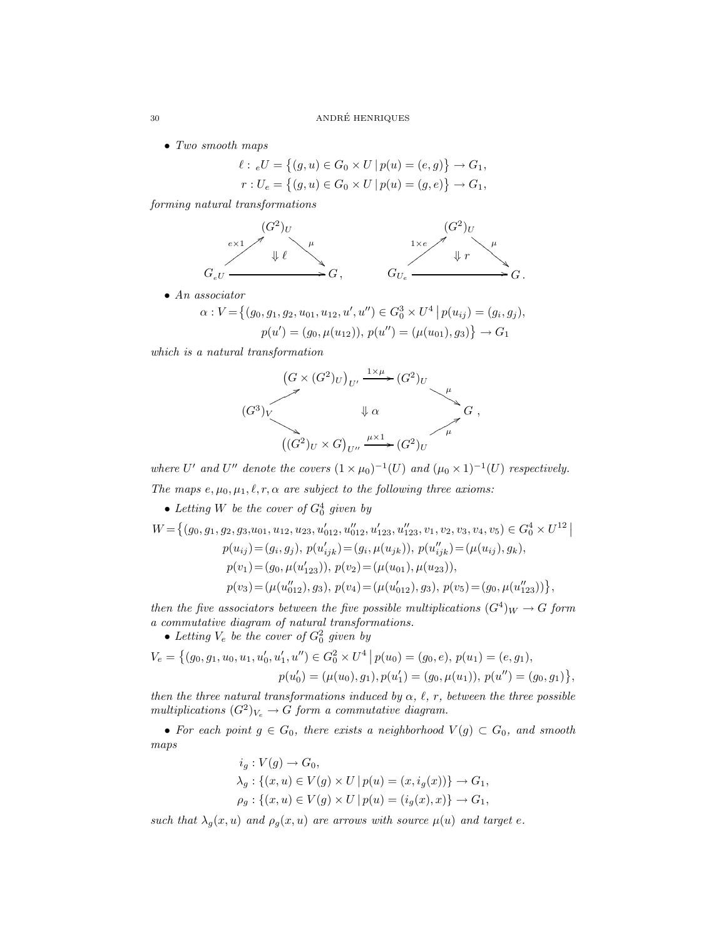• *Two smooth maps*

$$
\begin{aligned} \ell: \, _e U = \big\{ (g, u) \in G_0 \times U \, | \, p(u) = (e, g) \big\} \to G_1, \\ r: U_e = \big\{ (g, u) \in G_0 \times U \, | \, p(u) = (g, e) \big\} \to G_1, \end{aligned}
$$

*forming natural transformations*



• *An associator*

$$
\alpha: V = \{ (g_0, g_1, g_2, u_{01}, u_{12}, u', u'') \in G_0^3 \times U^4 \mid p(u_{ij}) = (g_i, g_j),
$$
  

$$
p(u') = (g_0, \mu(u_{12})), p(u'') = (\mu(u_{01}), g_3) \} \rightarrow G_1
$$

*which is a natural transformation*



*where* U' and U'' denote the covers  $(1 \times \mu_0)^{-1}(U)$  and  $(\mu_0 \times 1)^{-1}(U)$  respectively. *The maps*  $e, \mu_0, \mu_1, \ell, r, \alpha$  *are subject to the following three axioms:* 

• Letting W be the cover of  $G_0^4$  given by

$$
W = \left\{ (g_0, g_1, g_2, g_3, u_{01}, u_{12}, u_{23}, u'_{012}, u''_{123}, u''_{123}, v_1, v_2, v_3, v_4, v_5) \in G_0^4 \times U^{12} \mid p(u_{ij}) = (g_i, g_j), p(u'_{ijk}) = (g_i, \mu(u_{jk})), p(u''_{ijk}) = (\mu(u_{ij}), g_k), p(v_1) = (g_0, \mu(u'_{123})), p(v_2) = (\mu(u_{01}), \mu(u_{23})), p(v_3) = (\mu(u''_{012}), g_3), p(v_4) = (\mu(u'_{012}), g_3), p(v_5) = (g_0, \mu(u''_{123})) \right\},
$$

*then the five associators between the five possible multiplications*  $(G^4)_W \to G$  *form a commutative diagram of natural transformations.*

• Letting  $V_e$  be the cover of  $G_0^2$  given by

$$
V_e = \left\{ (g_0, g_1, u_0, u_1, u'_0, u'_1, u'') \in G_0^2 \times U^4 \, \middle| \, p(u_0) = (g_0, e), \, p(u_1) = (e, g_1), \, p(u'_0) = (\mu(u_0), g_1), p(u'_1) = (g_0, \mu(u_1)), \, p(u'') = (g_0, g_1) \right\},
$$

*then the three natural transformations induced by*  $\alpha$ ,  $\ell$ ,  $r$ , between the three possible  $multiplications (G^2)_{V_e} \rightarrow G$  *form a commutative diagram.* 

• For each point  $g \in G_0$ , there exists a neighborhood  $V(g) \subset G_0$ , and smooth *maps*

$$
i_g: V(g) \to G_0,
$$
  
\n
$$
\lambda_g: \{(x, u) \in V(g) \times U \mid p(u) = (x, i_g(x))\} \to G_1,
$$
  
\n
$$
\rho_g: \{(x, u) \in V(g) \times U \mid p(u) = (i_g(x), x)\} \to G_1,
$$

*such that*  $\lambda_g(x, u)$  *and*  $\rho_g(x, u)$  *are arrows with source*  $\mu(u)$  *and target e*.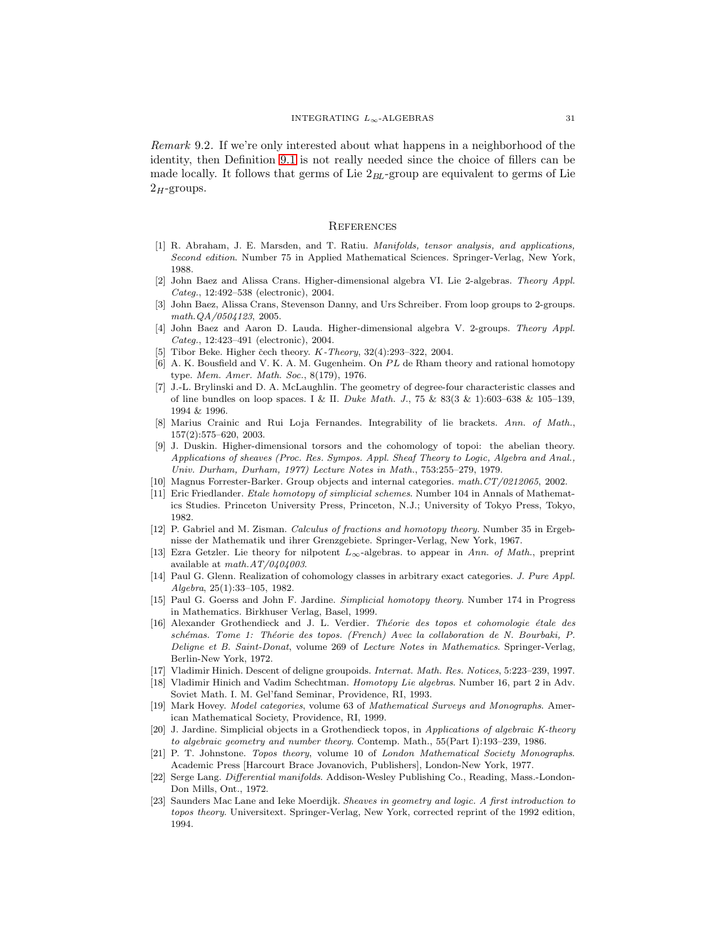*Remark* 9.2*.* If we're only interested about what happens in a neighborhood of the identity, then Definition [9.1](#page-28-2) is not really needed since the choice of fillers can be made locally. It follows that germs of Lie  $2_{BL}$ -group are equivalent to germs of Lie  $2<sub>H</sub>$ -groups.

#### **REFERENCES**

- <span id="page-30-20"></span>[1] R. Abraham, J. E. Marsden, and T. Ratiu. *Manifolds, tensor analysis, and applications, Second edition*. Number 75 in Applied Mathematical Sciences. Springer-Verlag, New York, 1988.
- <span id="page-30-1"></span>[2] John Baez and Alissa Crans. Higher-dimensional algebra VI. Lie 2-algebras. *Theory Appl. Categ.*, 12:492–538 (electronic), 2004.
- <span id="page-30-3"></span>[3] John Baez, Alissa Crans, Stevenson Danny, and Urs Schreiber. From loop groups to 2-groups. *math.QA/0504123*, 2005.
- <span id="page-30-4"></span>[4] John Baez and Aaron D. Lauda. Higher-dimensional algebra V. 2-groups. *Theory Appl. Categ.*, 12:423–491 (electronic), 2004.
- <span id="page-30-18"></span><span id="page-30-8"></span>[5] Tibor Beke. Higher čech theory. K-Theory, 32(4):293-322, 2004.
- $[6]$  A. K. Bousfield and V. K. A. M. Gugenheim. On PL de Rham theory and rational homotopy type. *Mem. Amer. Math. Soc.*, 8(179), 1976.
- <span id="page-30-2"></span>[7] J.-L. Brylinski and D. A. McLaughlin. The geometry of degree-four characteristic classes and of line bundles on loop spaces. I & II. *Duke Math. J.*, 75 & 83(3 & 1):603–638 & 105–139, 1994 & 1996.
- <span id="page-30-21"></span>[8] Marius Crainic and Rui Loja Fernandes. Integrability of lie brackets. *Ann. of Math.*, 157(2):575–620, 2003.
- <span id="page-30-6"></span>[9] J. Duskin. Higher-dimensional torsors and the cohomology of topoi: the abelian theory. *Applications of sheaves (Proc. Res. Sympos. Appl. Sheaf Theory to Logic, Algebra and Anal., Univ. Durham, Durham, 1977) Lecture Notes in Math.*, 753:255–279, 1979.
- <span id="page-30-22"></span><span id="page-30-5"></span>[10] Magnus Forrester-Barker. Group objects and internal categories. *math.CT/0212065*, 2002.
- [11] Eric Friedlander. *Etale homotopy of simplicial schemes*. Number 104 in Annals of Mathematics Studies. Princeton University Press, Princeton, N.J.; University of Tokyo Press, Tokyo, 1982.
- <span id="page-30-15"></span>[12] P. Gabriel and M. Zisman. *Calculus of fractions and homotopy theory*. Number 35 in Ergebnisse der Mathematik und ihrer Grenzgebiete. Springer-Verlag, New York, 1967.
- <span id="page-30-10"></span>[13] Ezra Getzler. Lie theory for nilpotent L∞-algebras. to appear in *Ann. of Math.*, preprint available at *math.AT/0404003*.
- <span id="page-30-7"></span>[14] Paul G. Glenn. Realization of cohomology classes in arbitrary exact categories. *J. Pure Appl. Algebra*, 25(1):33–105, 1982.
- <span id="page-30-17"></span>[15] Paul G. Goerss and John F. Jardine. *Simplicial homotopy theory*. Number 174 in Progress in Mathematics. Birkhuser Verlag, Basel, 1999.
- <span id="page-30-12"></span>[16] Alexander Grothendieck and J. L. Verdier. *Th´eorie des topos et cohomologie ´etale des sch´emas. Tome 1: Th´eorie des topos. (French) Avec la collaboration de N. Bourbaki, P. Deligne et B. Saint-Donat*, volume 269 of *Lecture Notes in Mathematics*. Springer-Verlag, Berlin-New York, 1972.
- <span id="page-30-9"></span><span id="page-30-0"></span>[17] Vladimir Hinich. Descent of deligne groupoids. *Internat. Math. Res. Notices*, 5:223–239, 1997.
- [18] Vladimir Hinich and Vadim Schechtman. *Homotopy Lie algebras*. Number 16, part 2 in Adv. Soviet Math. I. M. Gel'fand Seminar, Providence, RI, 1993.
- <span id="page-30-16"></span>[19] Mark Hovey. *Model categories*, volume 63 of *Mathematical Surveys and Monographs*. American Mathematical Society, Providence, RI, 1999.
- <span id="page-30-11"></span>[20] J. Jardine. Simplicial objects in a Grothendieck topos, in *Applications of algebraic K-theory to algebraic geometry and number theory*. Contemp. Math., 55(Part I):193–239, 1986.
- <span id="page-30-13"></span>[21] P. T. Johnstone. *Topos theory*, volume 10 of *London Mathematical Society Monographs*. Academic Press [Harcourt Brace Jovanovich, Publishers], London-New York, 1977.
- <span id="page-30-19"></span>[22] Serge Lang. *Differential manifolds*. Addison-Wesley Publishing Co., Reading, Mass.-London-Don Mills, Ont., 1972.
- <span id="page-30-14"></span>[23] Saunders Mac Lane and Ieke Moerdijk. *Sheaves in geometry and logic. A first introduction to topos theory*. Universitext. Springer-Verlag, New York, corrected reprint of the 1992 edition, 1994.